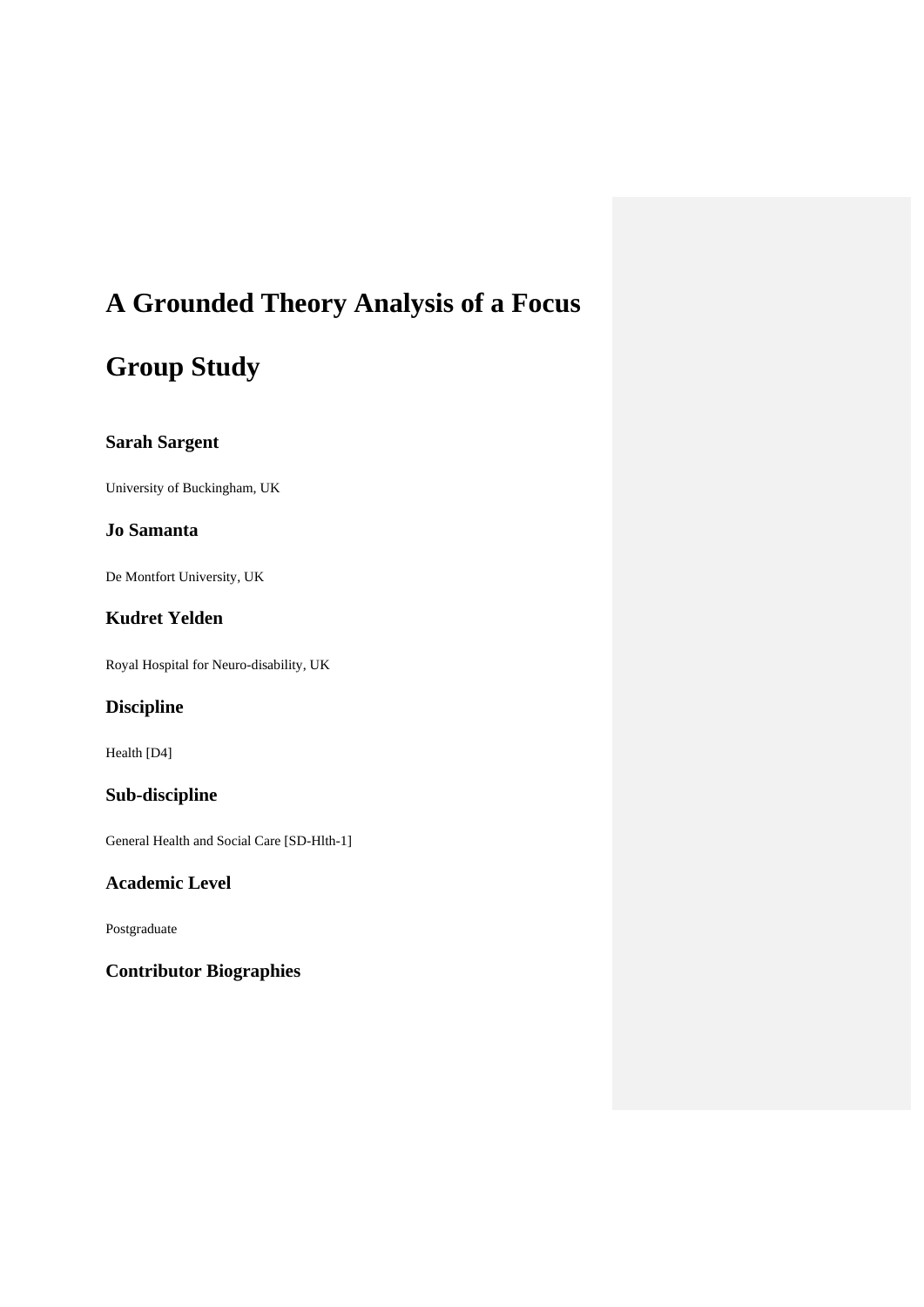# **A Grounded Theory Analysis of a Focus**

# **Group Study**

# **Sarah Sargent**

University of Buckingham, UK

## **Jo Samanta**

De Montfort University, UK

# **Kudret Yelden**

Royal Hospital for Neuro-disability, UK

# **Discipline**

Health [D4]

# **Sub-discipline**

General Health and Social Care [SD-Hlth-1]

# **Academic Level**

Postgraduate

# **Contributor Biographies**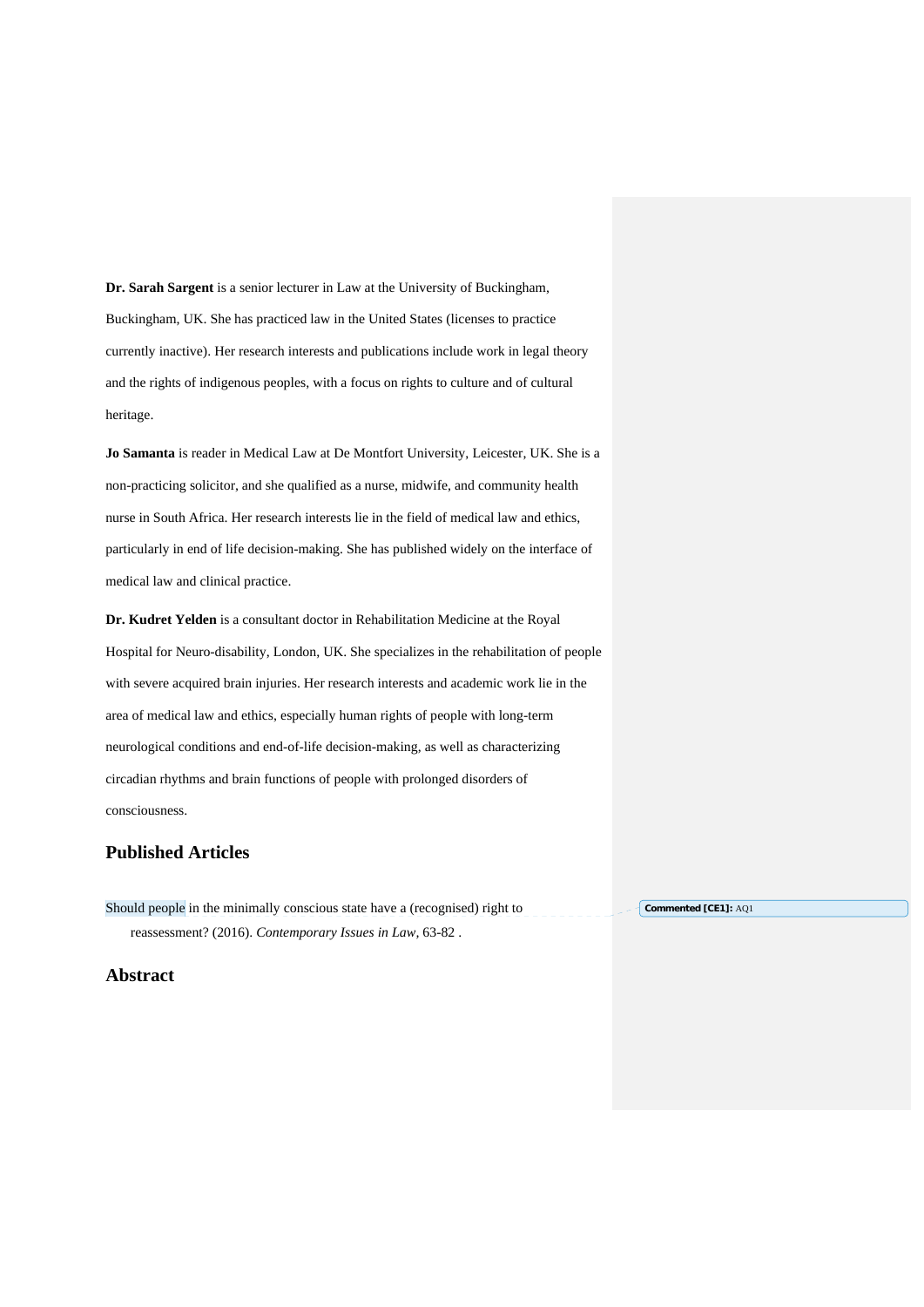**Dr. Sarah Sargent** is a senior lecturer in Law at the University of Buckingham, Buckingham, UK. She has practiced law in the United States (licenses to practice currently inactive). Her research interests and publications include work in legal theory and the rights of indigenous peoples, with a focus on rights to culture and of cultural heritage.

**Jo Samanta** is reader in Medical Law at De Montfort University, Leicester, UK. She is a non-practicing solicitor, and she qualified as a nurse, midwife, and community health nurse in South Africa. Her research interests lie in the field of medical law and ethics, particularly in end of life decision-making. She has published widely on the interface of medical law and clinical practice.

**Dr. Kudret Yelden** is a consultant doctor in Rehabilitation Medicine at the Royal Hospital for Neuro-disability, London, UK. She specializes in the rehabilitation of people with severe acquired brain injuries. Her research interests and academic work lie in the area of medical law and ethics, especially human rights of people with long-term neurological conditions and end-of-life decision-making, as well as characterizing circadian rhythms and brain functions of people with prolonged disorders of consciousness.

## **Published Articles**

Should people in the minimally conscious state have a (recognised) right to reassessment? (2016). *Contemporary Issues in Law,* 63-82 . **Commented [CE1]:** AQ1

**Abstract**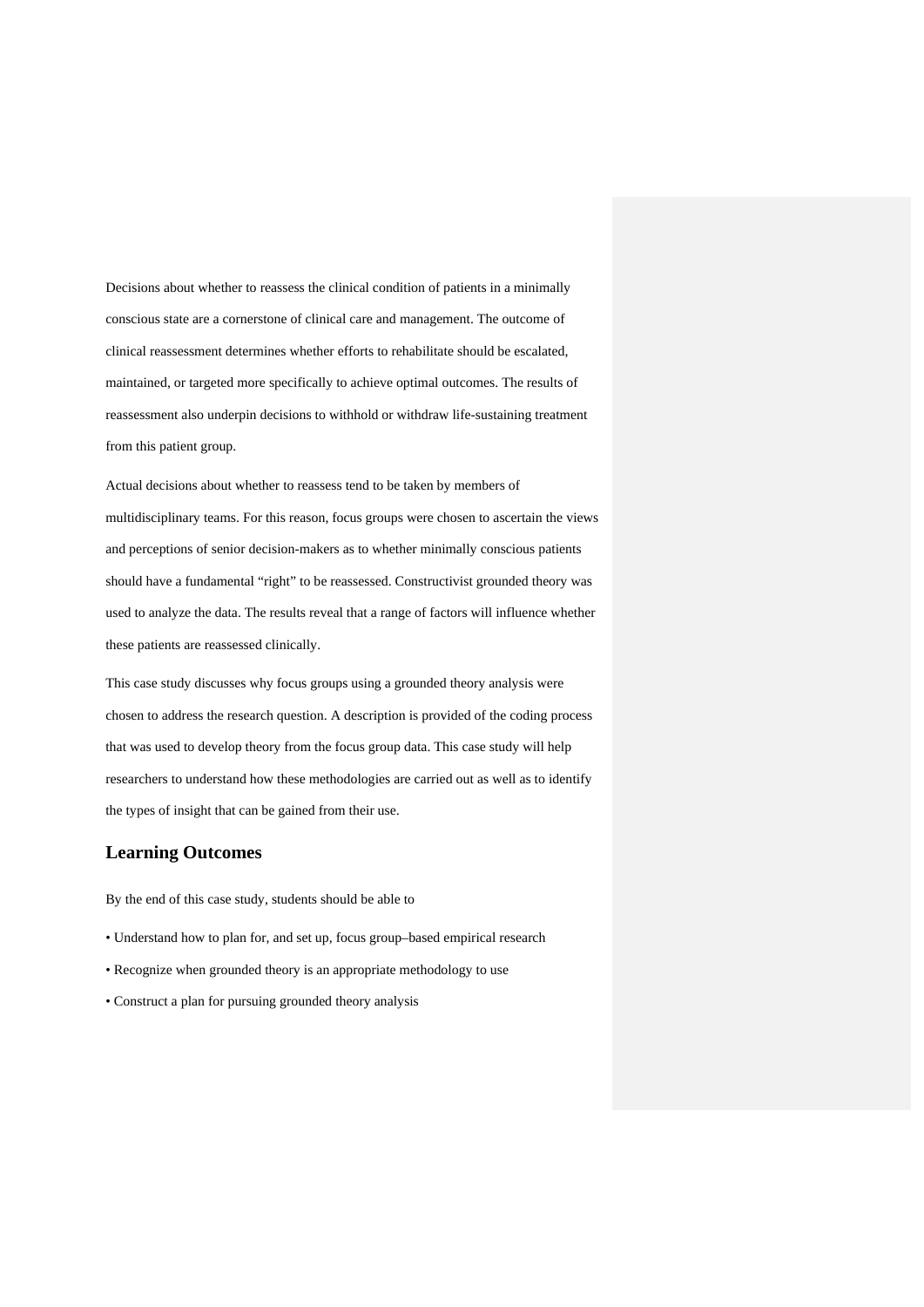Decisions about whether to reassess the clinical condition of patients in a minimally conscious state are a cornerstone of clinical care and management. The outcome of clinical reassessment determines whether efforts to rehabilitate should be escalated, maintained, or targeted more specifically to achieve optimal outcomes. The results of reassessment also underpin decisions to withhold or withdraw life-sustaining treatment from this patient group.

Actual decisions about whether to reassess tend to be taken by members of multidisciplinary teams. For this reason, focus groups were chosen to ascertain the views and perceptions of senior decision-makers as to whether minimally conscious patients should have a fundamental "right" to be reassessed. Constructivist grounded theory was used to analyze the data. The results reveal that a range of factors will influence whether these patients are reassessed clinically.

This case study discusses why focus groups using a grounded theory analysis were chosen to address the research question. A description is provided of the coding process that was used to develop theory from the focus group data. This case study will help researchers to understand how these methodologies are carried out as well as to identify the types of insight that can be gained from their use.

### **Learning Outcomes**

By the end of this case study, students should be able to

- Understand how to plan for, and set up, focus group–based empirical research
- Recognize when grounded theory is an appropriate methodology to use
- Construct a plan for pursuing grounded theory analysis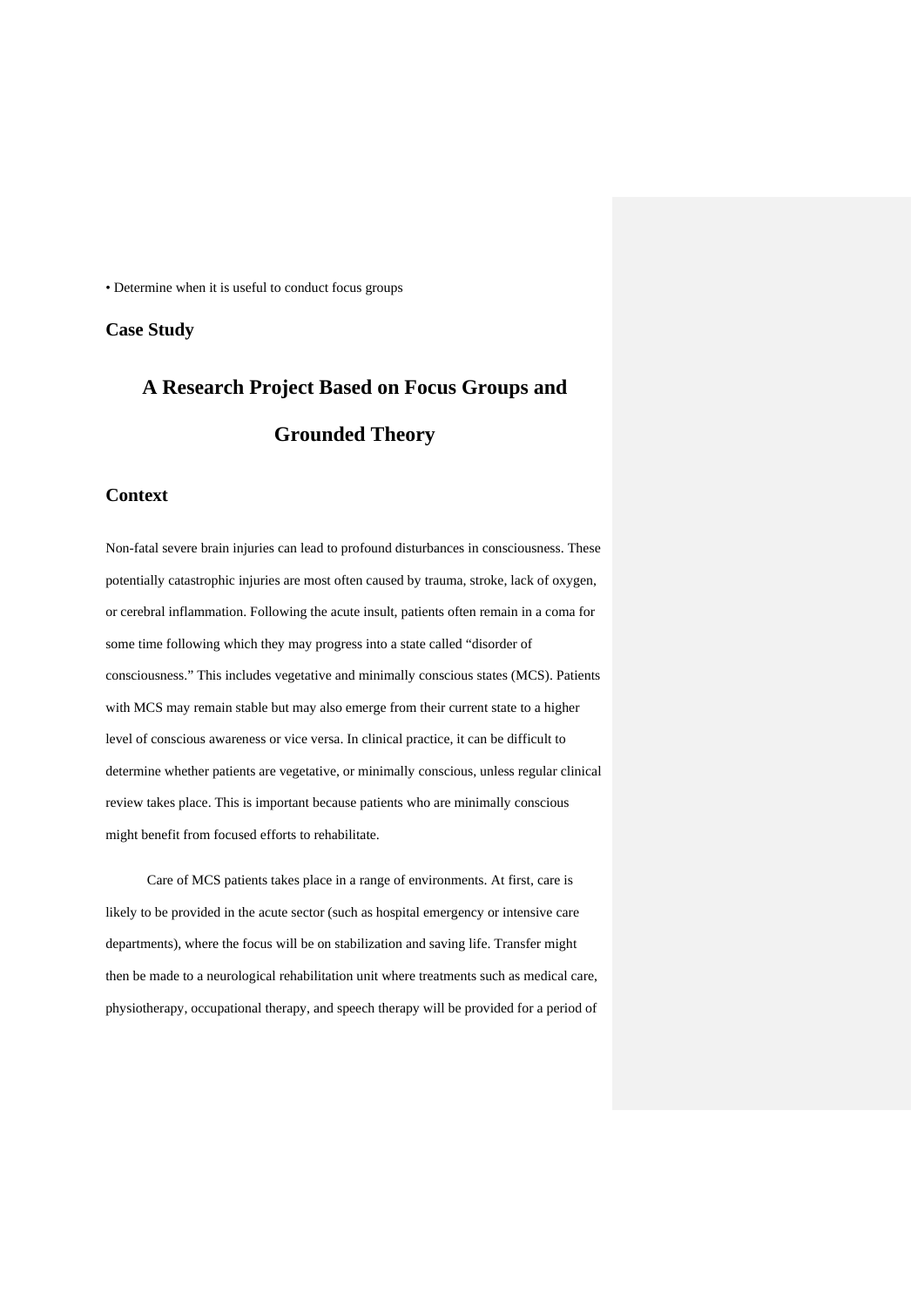• Determine when it is useful to conduct focus groups

## **Case Study**

# **A Research Project Based on Focus Groups and Grounded Theory**

### **Context**

Non-fatal severe brain injuries can lead to profound disturbances in consciousness. These potentially catastrophic injuries are most often caused by trauma, stroke, lack of oxygen, or cerebral inflammation. Following the acute insult, patients often remain in a coma for some time following which they may progress into a state called "disorder of consciousness." This includes vegetative and minimally conscious states (MCS). Patients with MCS may remain stable but may also emerge from their current state to a higher level of conscious awareness or vice versa. In clinical practice, it can be difficult to determine whether patients are vegetative, or minimally conscious, unless regular clinical review takes place. This is important because patients who are minimally conscious might benefit from focused efforts to rehabilitate.

Care of MCS patients takes place in a range of environments. At first, care is likely to be provided in the acute sector (such as hospital emergency or intensive care departments), where the focus will be on stabilization and saving life. Transfer might then be made to a neurological rehabilitation unit where treatments such as medical care, physiotherapy, occupational therapy, and speech therapy will be provided for a period of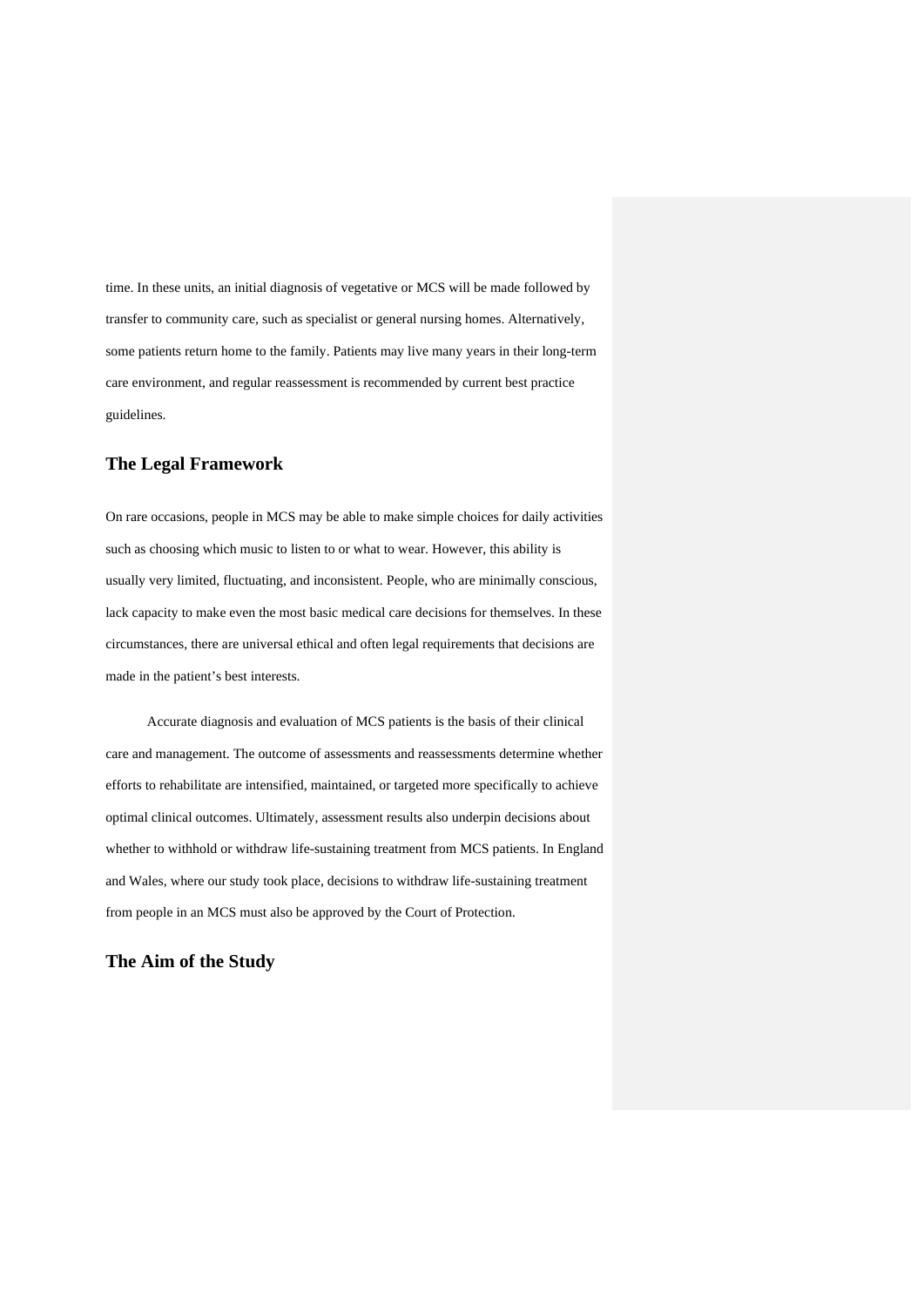time. In these units, an initial diagnosis of vegetative or MCS will be made followed by transfer to community care, such as specialist or general nursing homes. Alternatively, some patients return home to the family. Patients may live many years in their long-term care environment, and regular reassessment is recommended by current best practice guidelines.

## **The Legal Framework**

On rare occasions, people in MCS may be able to make simple choices for daily activities such as choosing which music to listen to or what to wear. However, this ability is usually very limited, fluctuating, and inconsistent. People, who are minimally conscious, lack capacity to make even the most basic medical care decisions for themselves. In these circumstances, there are universal ethical and often legal requirements that decisions are made in the patient's best interests.

Accurate diagnosis and evaluation of MCS patients is the basis of their clinical care and management. The outcome of assessments and reassessments determine whether efforts to rehabilitate are intensified, maintained, or targeted more specifically to achieve optimal clinical outcomes. Ultimately, assessment results also underpin decisions about whether to withhold or withdraw life-sustaining treatment from MCS patients. In England and Wales, where our study took place, decisions to withdraw life-sustaining treatment from people in an MCS must also be approved by the Court of Protection.

## **The Aim of the Study**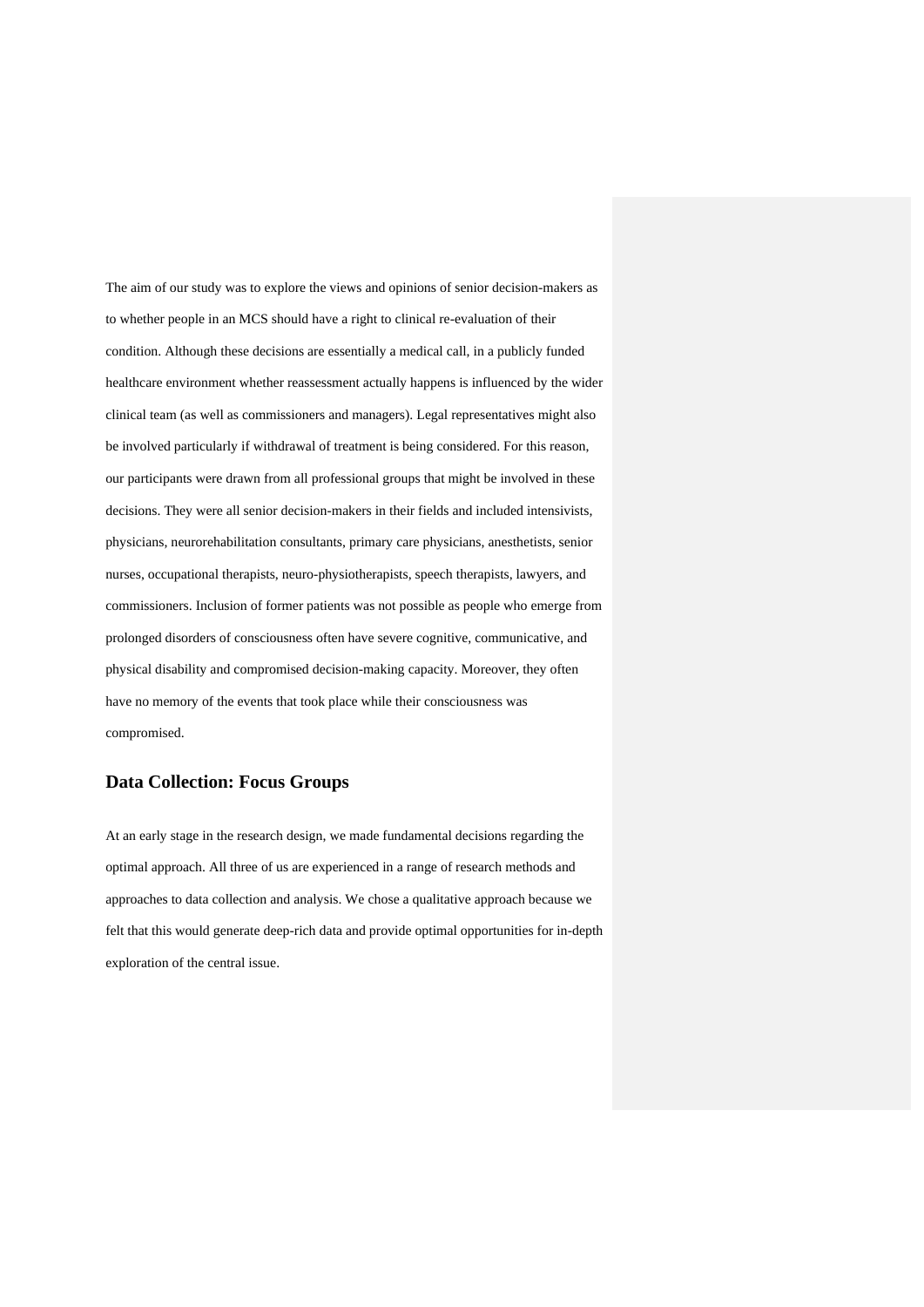The aim of our study was to explore the views and opinions of senior decision-makers as to whether people in an MCS should have a right to clinical re-evaluation of their condition. Although these decisions are essentially a medical call, in a publicly funded healthcare environment whether reassessment actually happens is influenced by the wider clinical team (as well as commissioners and managers). Legal representatives might also be involved particularly if withdrawal of treatment is being considered. For this reason, our participants were drawn from all professional groups that might be involved in these decisions. They were all senior decision-makers in their fields and included intensivists, physicians, neurorehabilitation consultants, primary care physicians, anesthetists, senior nurses, occupational therapists, neuro-physiotherapists, speech therapists, lawyers, and commissioners. Inclusion of former patients was not possible as people who emerge from prolonged disorders of consciousness often have severe cognitive, communicative, and physical disability and compromised decision-making capacity. Moreover, they often have no memory of the events that took place while their consciousness was compromised.

## **Data Collection: Focus Groups**

At an early stage in the research design, we made fundamental decisions regarding the optimal approach. All three of us are experienced in a range of research methods and approaches to data collection and analysis. We chose a qualitative approach because we felt that this would generate deep-rich data and provide optimal opportunities for in-depth exploration of the central issue.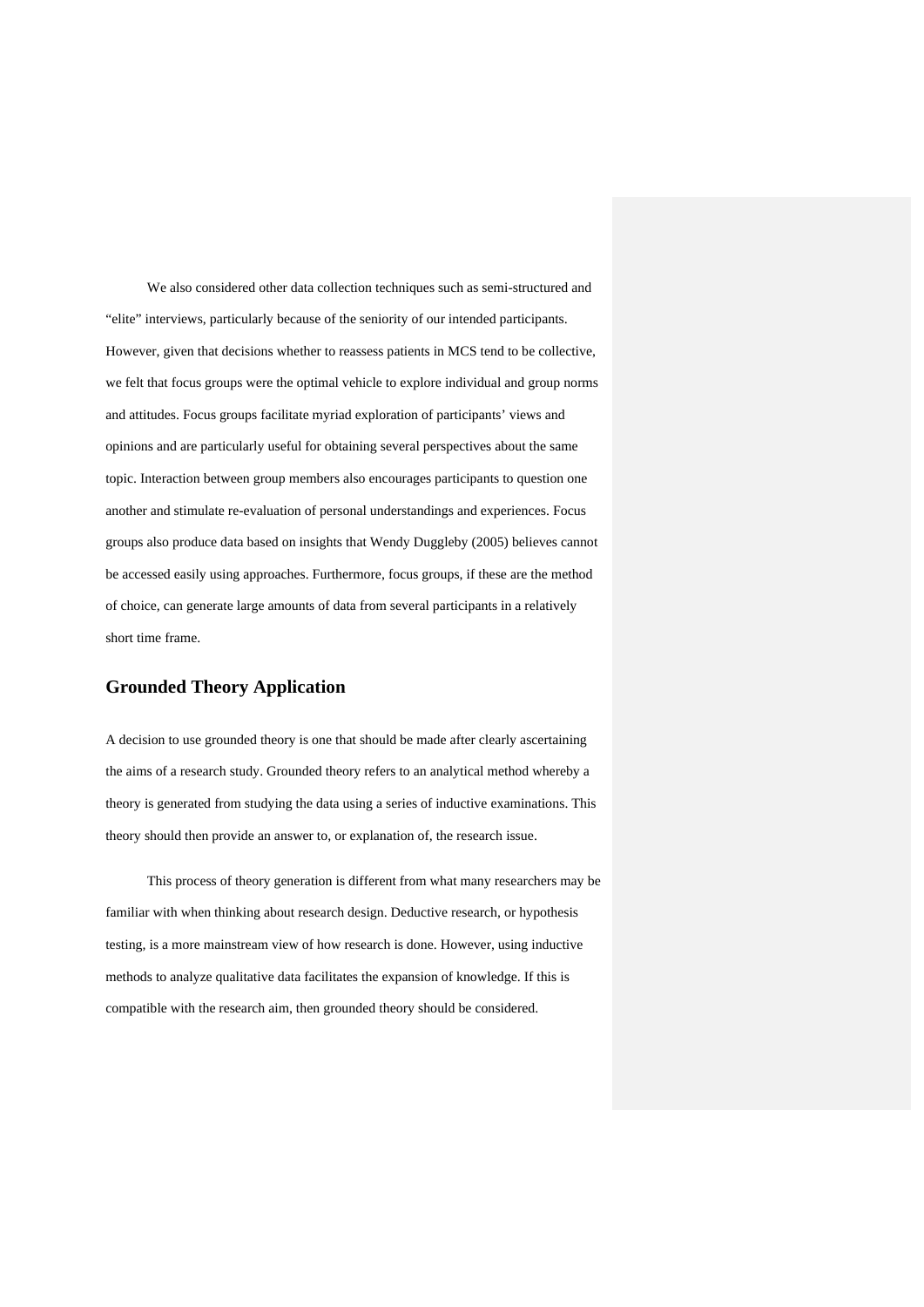We also considered other data collection techniques such as semi-structured and "elite" interviews, particularly because of the seniority of our intended participants. However, given that decisions whether to reassess patients in MCS tend to be collective, we felt that focus groups were the optimal vehicle to explore individual and group norms and attitudes. Focus groups facilitate myriad exploration of participants' views and opinions and are particularly useful for obtaining several perspectives about the same topic. Interaction between group members also encourages participants to question one another and stimulate re-evaluation of personal understandings and experiences. Focus groups also produce data based on insights that Wendy Duggleby (2005) believes cannot be accessed easily using approaches. Furthermore, focus groups, if these are the method of choice, can generate large amounts of data from several participants in a relatively short time frame.

## **Grounded Theory Application**

A decision to use grounded theory is one that should be made after clearly ascertaining the aims of a research study. Grounded theory refers to an analytical method whereby a theory is generated from studying the data using a series of inductive examinations. This theory should then provide an answer to, or explanation of, the research issue.

This process of theory generation is different from what many researchers may be familiar with when thinking about research design. Deductive research, or hypothesis testing, is a more mainstream view of how research is done. However, using inductive methods to analyze qualitative data facilitates the expansion of knowledge. If this is compatible with the research aim, then grounded theory should be considered.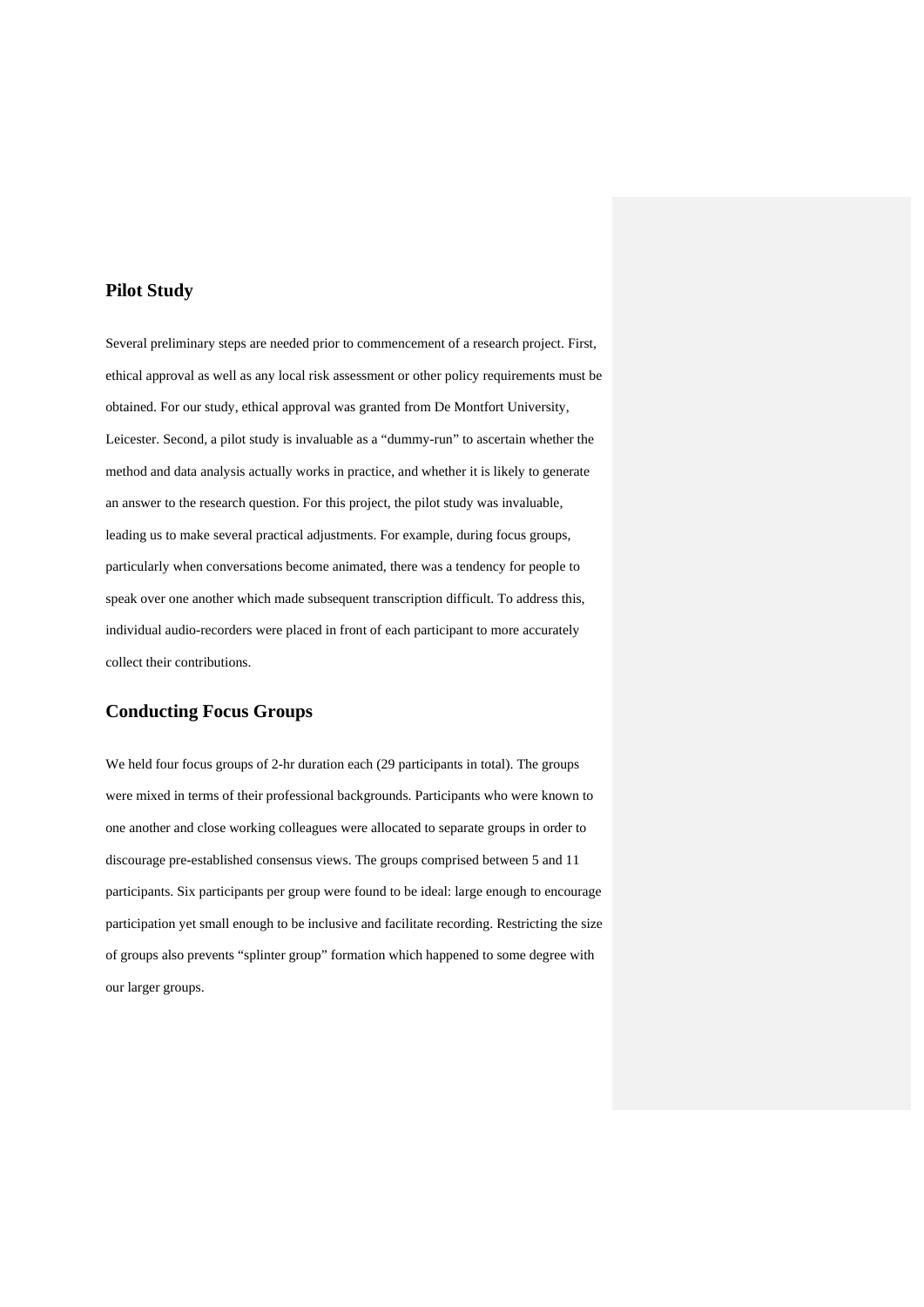## **Pilot Study**

Several preliminary steps are needed prior to commencement of a research project. First, ethical approval as well as any local risk assessment or other policy requirements must be obtained. For our study, ethical approval was granted from De Montfort University, Leicester. Second, a pilot study is invaluable as a "dummy-run" to ascertain whether the method and data analysis actually works in practice, and whether it is likely to generate an answer to the research question. For this project, the pilot study was invaluable, leading us to make several practical adjustments. For example, during focus groups, particularly when conversations become animated, there was a tendency for people to speak over one another which made subsequent transcription difficult. To address this, individual audio-recorders were placed in front of each participant to more accurately collect their contributions.

## **Conducting Focus Groups**

We held four focus groups of 2-hr duration each (29 participants in total). The groups were mixed in terms of their professional backgrounds. Participants who were known to one another and close working colleagues were allocated to separate groups in order to discourage pre-established consensus views. The groups comprised between 5 and 11 participants. Six participants per group were found to be ideal: large enough to encourage participation yet small enough to be inclusive and facilitate recording. Restricting the size of groups also prevents "splinter group" formation which happened to some degree with our larger groups.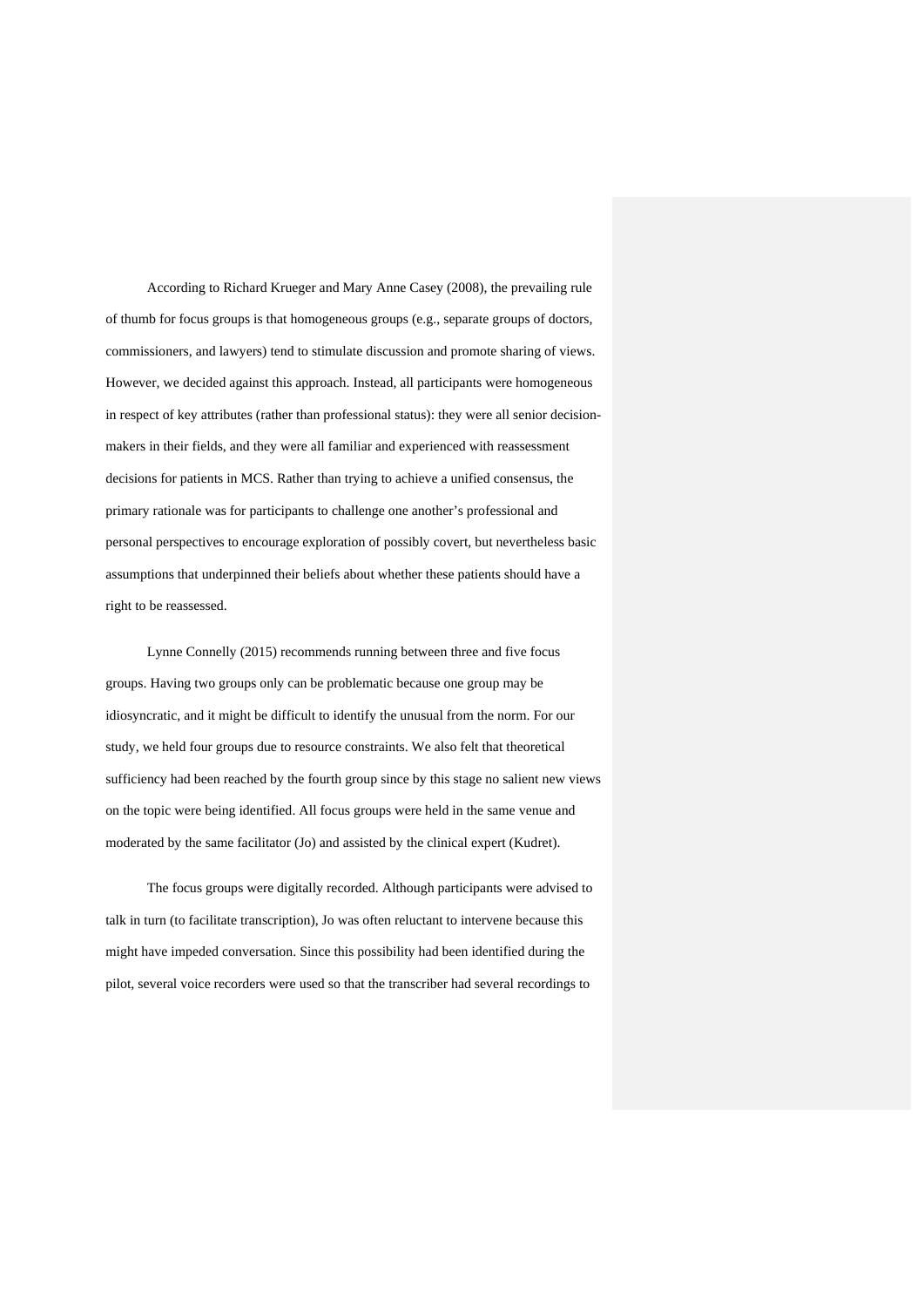According to Richard Krueger and Mary Anne Casey (2008), the prevailing rule of thumb for focus groups is that homogeneous groups (e.g., separate groups of doctors, commissioners, and lawyers) tend to stimulate discussion and promote sharing of views. However, we decided against this approach. Instead, all participants were homogeneous in respect of key attributes (rather than professional status): they were all senior decisionmakers in their fields, and they were all familiar and experienced with reassessment decisions for patients in MCS. Rather than trying to achieve a unified consensus, the primary rationale was for participants to challenge one another's professional and personal perspectives to encourage exploration of possibly covert, but nevertheless basic assumptions that underpinned their beliefs about whether these patients should have a right to be reassessed.

Lynne Connelly (2015) recommends running between three and five focus groups. Having two groups only can be problematic because one group may be idiosyncratic, and it might be difficult to identify the unusual from the norm. For our study, we held four groups due to resource constraints. We also felt that theoretical sufficiency had been reached by the fourth group since by this stage no salient new views on the topic were being identified. All focus groups were held in the same venue and moderated by the same facilitator (Jo) and assisted by the clinical expert (Kudret).

The focus groups were digitally recorded. Although participants were advised to talk in turn (to facilitate transcription), Jo was often reluctant to intervene because this might have impeded conversation. Since this possibility had been identified during the pilot, several voice recorders were used so that the transcriber had several recordings to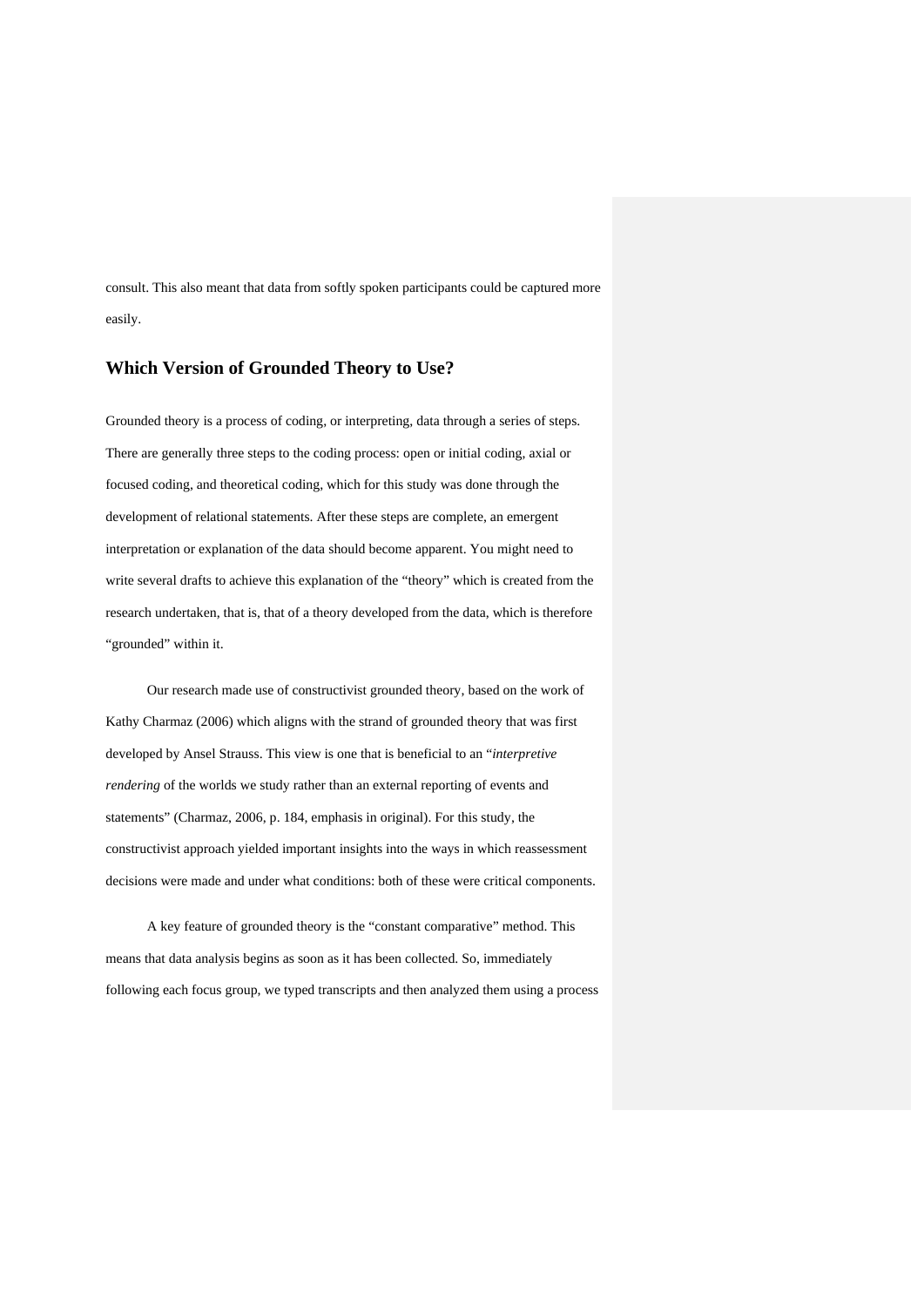consult. This also meant that data from softly spoken participants could be captured more easily.

## **Which Version of Grounded Theory to Use?**

Grounded theory is a process of coding, or interpreting, data through a series of steps. There are generally three steps to the coding process: open or initial coding, axial or focused coding, and theoretical coding, which for this study was done through the development of relational statements. After these steps are complete, an emergent interpretation or explanation of the data should become apparent. You might need to write several drafts to achieve this explanation of the "theory" which is created from the research undertaken, that is, that of a theory developed from the data, which is therefore "grounded" within it.

Our research made use of constructivist grounded theory, based on the work of Kathy Charmaz (2006) which aligns with the strand of grounded theory that was first developed by Ansel Strauss. This view is one that is beneficial to an "*interpretive rendering* of the worlds we study rather than an external reporting of events and statements" (Charmaz, 2006, p. 184, emphasis in original). For this study, the constructivist approach yielded important insights into the ways in which reassessment decisions were made and under what conditions: both of these were critical components.

A key feature of grounded theory is the "constant comparative" method. This means that data analysis begins as soon as it has been collected. So, immediately following each focus group, we typed transcripts and then analyzed them using a process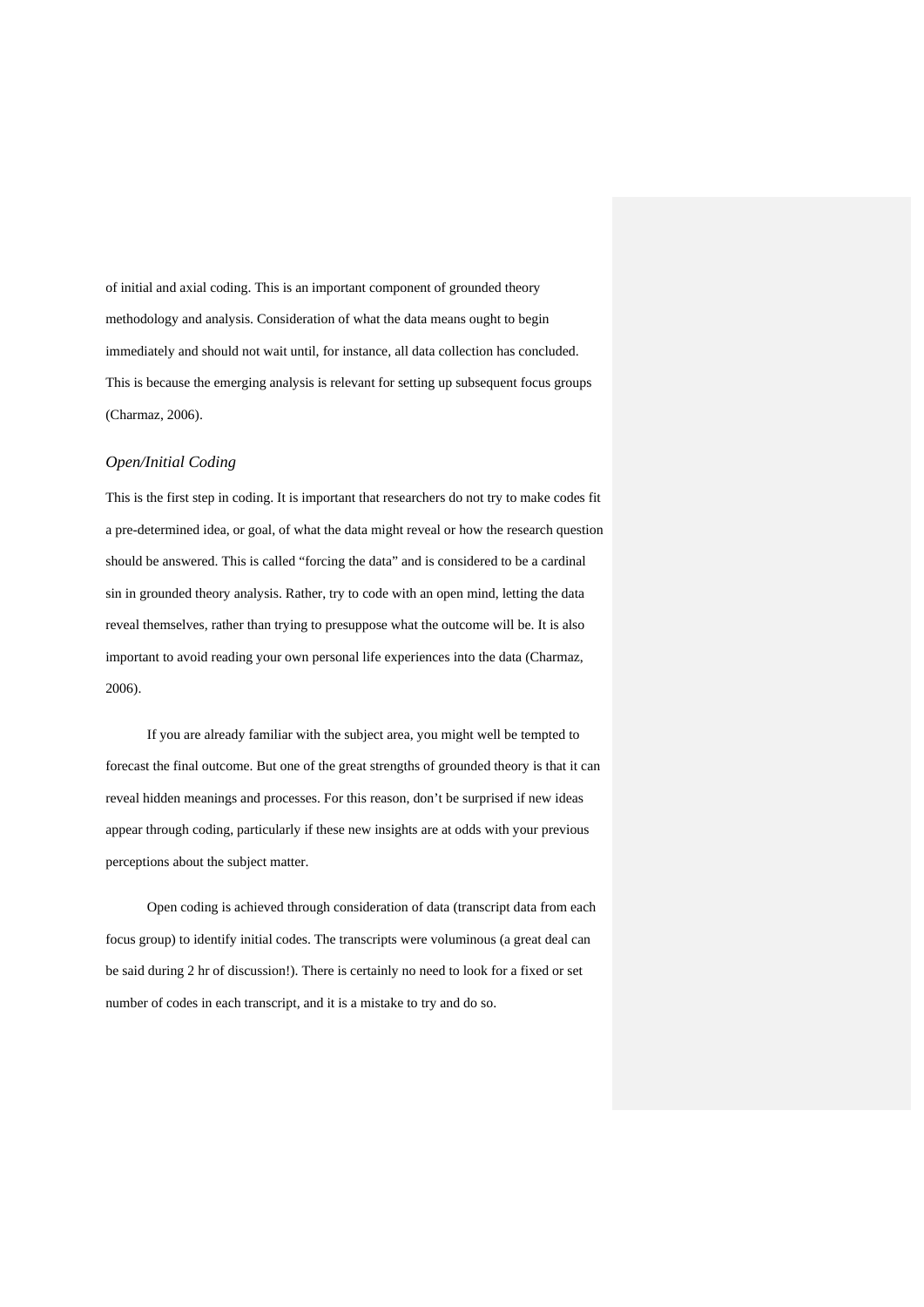of initial and axial coding. This is an important component of grounded theory methodology and analysis. Consideration of what the data means ought to begin immediately and should not wait until, for instance, all data collection has concluded. This is because the emerging analysis is relevant for setting up subsequent focus groups (Charmaz, 2006).

#### *Open/Initial Coding*

This is the first step in coding. It is important that researchers do not try to make codes fit a pre-determined idea, or goal, of what the data might reveal or how the research question should be answered. This is called "forcing the data" and is considered to be a cardinal sin in grounded theory analysis. Rather, try to code with an open mind, letting the data reveal themselves, rather than trying to presuppose what the outcome will be. It is also important to avoid reading your own personal life experiences into the data (Charmaz, 2006).

If you are already familiar with the subject area, you might well be tempted to forecast the final outcome. But one of the great strengths of grounded theory is that it can reveal hidden meanings and processes. For this reason, don't be surprised if new ideas appear through coding, particularly if these new insights are at odds with your previous perceptions about the subject matter.

Open coding is achieved through consideration of data (transcript data from each focus group) to identify initial codes. The transcripts were voluminous (a great deal can be said during 2 hr of discussion!). There is certainly no need to look for a fixed or set number of codes in each transcript, and it is a mistake to try and do so.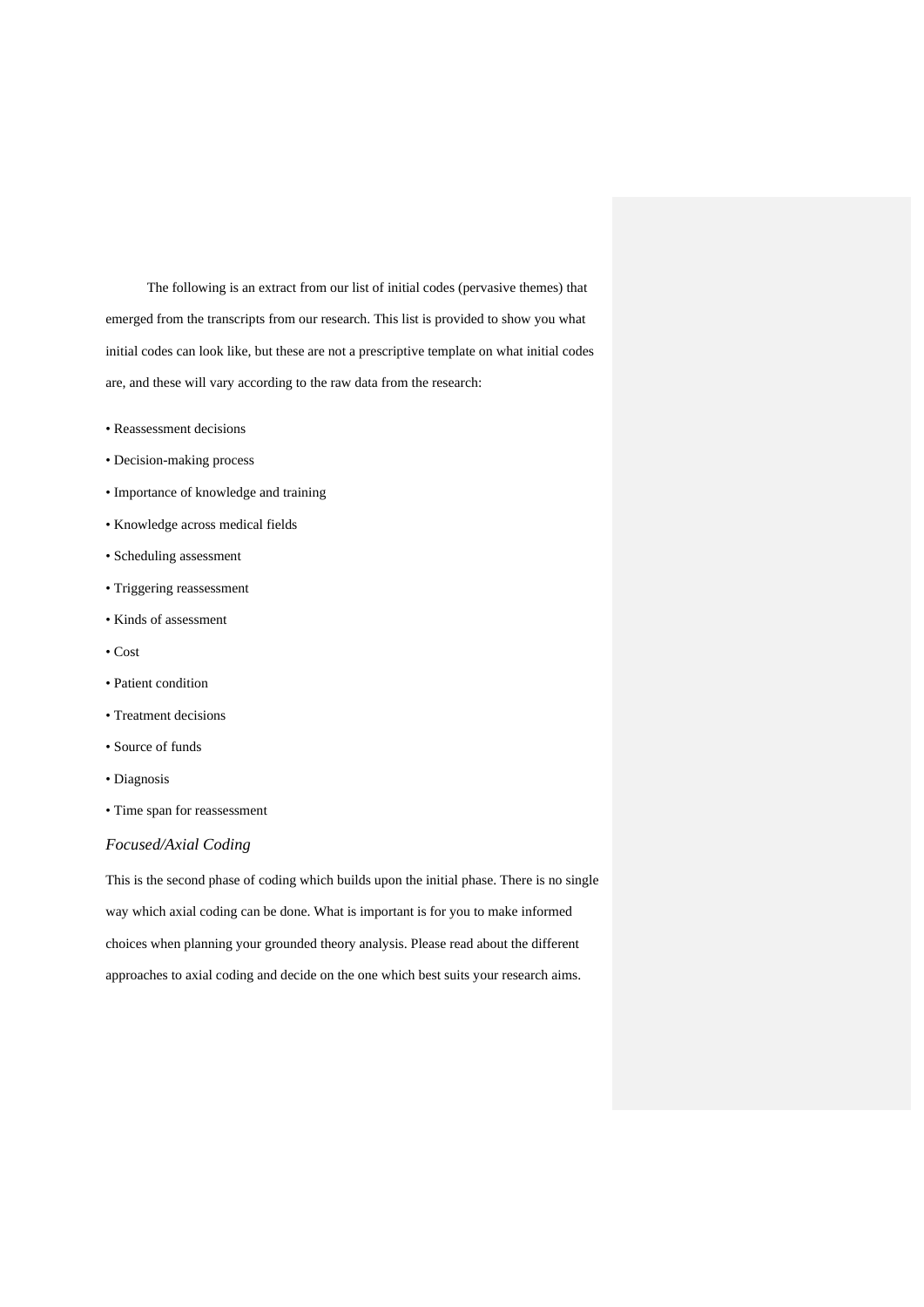The following is an extract from our list of initial codes (pervasive themes) that emerged from the transcripts from our research. This list is provided to show you what initial codes can look like, but these are not a prescriptive template on what initial codes are, and these will vary according to the raw data from the research:

- Reassessment decisions
- Decision-making process
- Importance of knowledge and training
- Knowledge across medical fields
- Scheduling assessment
- Triggering reassessment
- Kinds of assessment
- Cost
- Patient condition
- Treatment decisions
- Source of funds
- Diagnosis
- Time span for reassessment

#### *Focused/Axial Coding*

This is the second phase of coding which builds upon the initial phase. There is no single way which axial coding can be done. What is important is for you to make informed choices when planning your grounded theory analysis. Please read about the different approaches to axial coding and decide on the one which best suits your research aims.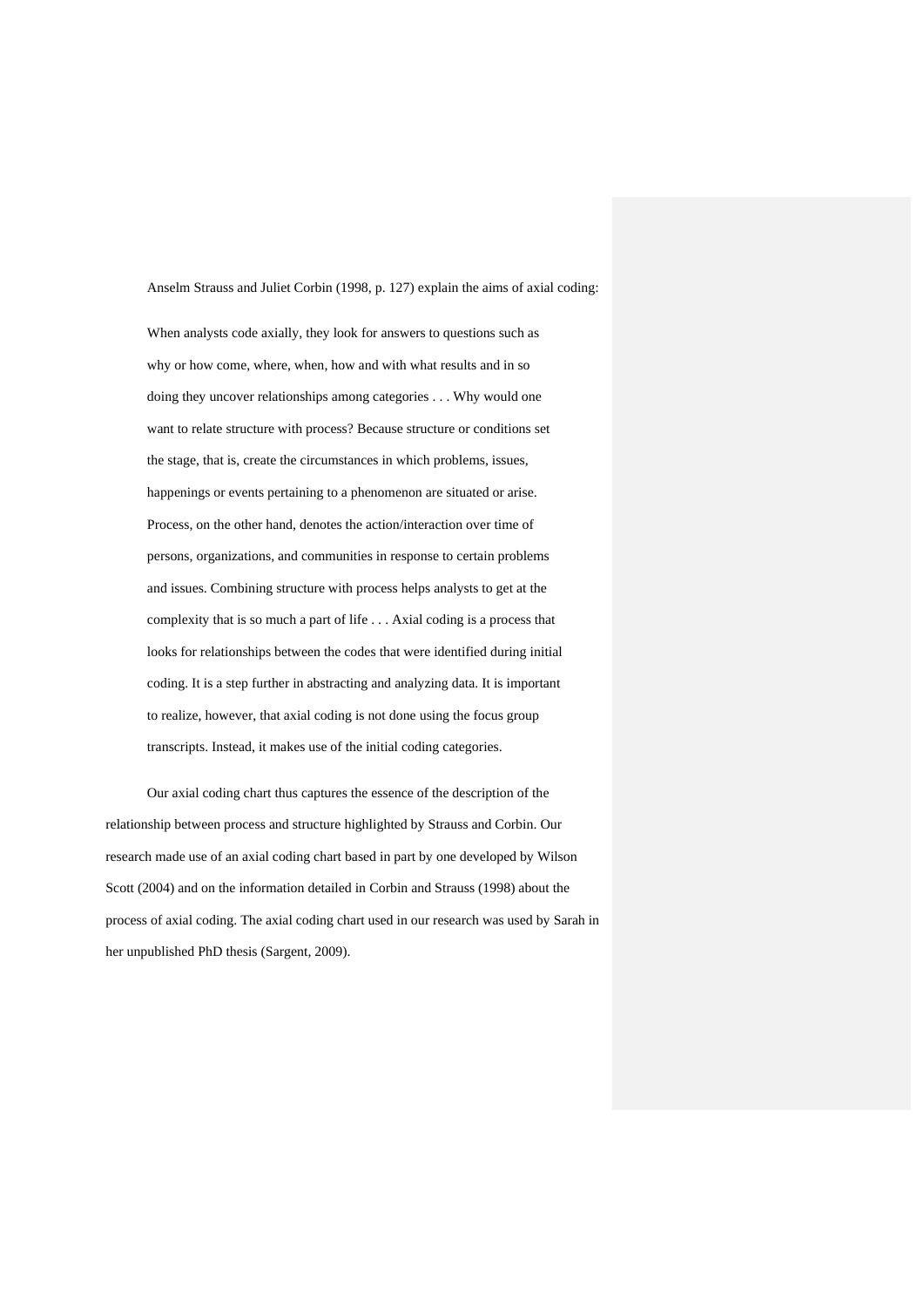Anselm Strauss and Juliet Corbin (1998, p. 127) explain the aims of axial coding: When analysts code axially, they look for answers to questions such as why or how come, where, when, how and with what results and in so doing they uncover relationships among categories . . . Why would one want to relate structure with process? Because structure or conditions set the stage, that is, create the circumstances in which problems, issues, happenings or events pertaining to a phenomenon are situated or arise. Process, on the other hand, denotes the action/interaction over time of persons, organizations, and communities in response to certain problems and issues. Combining structure with process helps analysts to get at the complexity that is so much a part of life . . . Axial coding is a process that looks for relationships between the codes that were identified during initial coding. It is a step further in abstracting and analyzing data. It is important to realize, however, that axial coding is not done using the focus group transcripts. Instead, it makes use of the initial coding categories.

Our axial coding chart thus captures the essence of the description of the relationship between process and structure highlighted by Strauss and Corbin. Our research made use of an axial coding chart based in part by one developed by Wilson Scott (2004) and on the information detailed in Corbin and Strauss (1998) about the process of axial coding. The axial coding chart used in our research was used by Sarah in her unpublished PhD thesis (Sargent, 2009).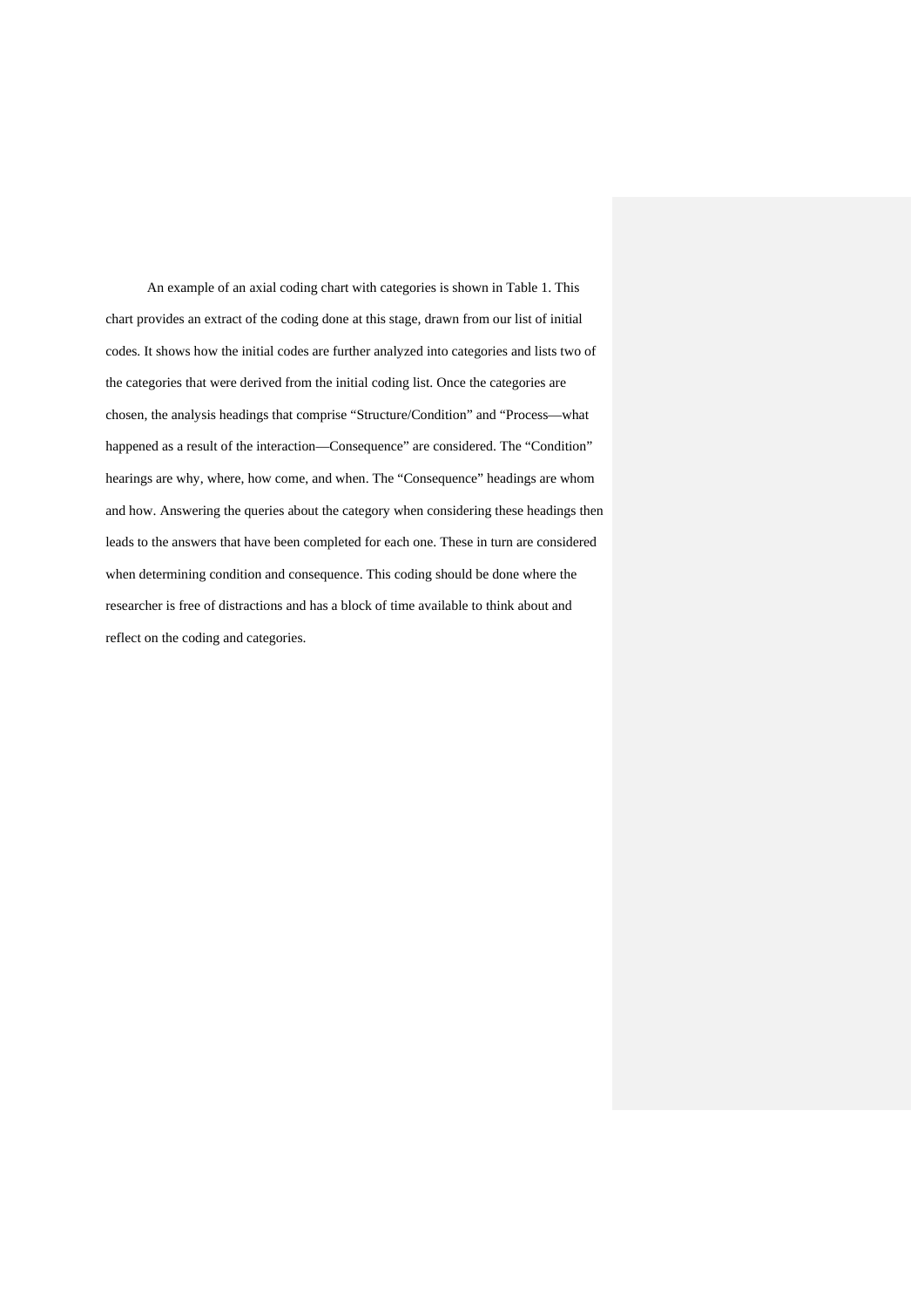An example of an axial coding chart with categories is shown in Table 1. This chart provides an extract of the coding done at this stage, drawn from our list of initial codes. It shows how the initial codes are further analyzed into categories and lists two of the categories that were derived from the initial coding list. Once the categories are chosen, the analysis headings that comprise "Structure/Condition" and "Process—what happened as a result of the interaction—Consequence" are considered. The "Condition" hearings are why, where, how come, and when. The "Consequence" headings are whom and how. Answering the queries about the category when considering these headings then leads to the answers that have been completed for each one. These in turn are considered when determining condition and consequence. This coding should be done where the researcher is free of distractions and has a block of time available to think about and reflect on the coding and categories.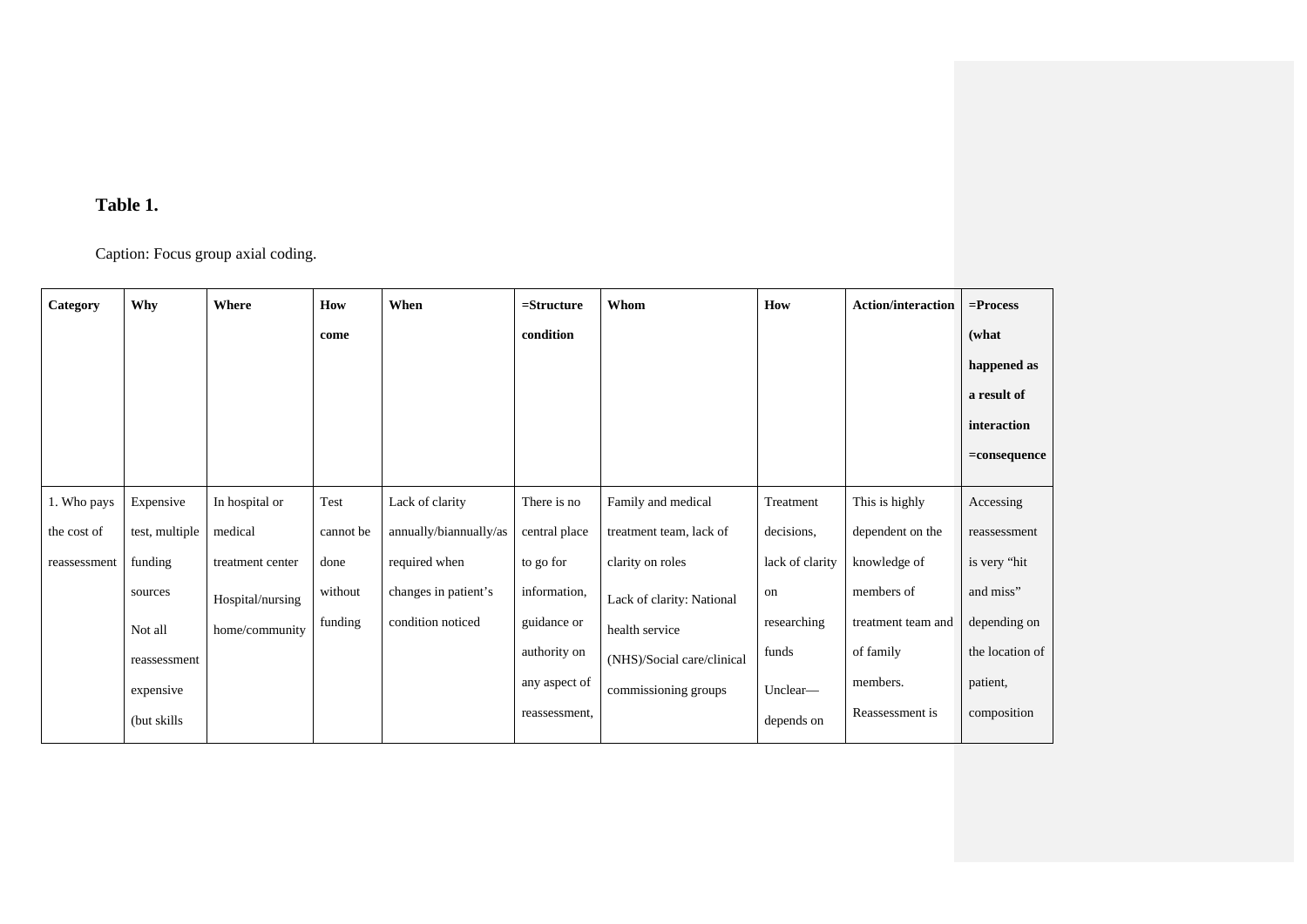## **Table 1.**

Caption: Focus group axial coding.

| Category     | Why            | Where            | How       | When                   | $=$ Structure | Whom                       | How             | <b>Action/interaction</b> | $=$ Process     |
|--------------|----------------|------------------|-----------|------------------------|---------------|----------------------------|-----------------|---------------------------|-----------------|
|              |                |                  | come      |                        | condition     |                            |                 |                           | (what           |
|              |                |                  |           |                        |               |                            |                 |                           | happened as     |
|              |                |                  |           |                        |               |                            |                 |                           | a result of     |
|              |                |                  |           |                        |               |                            |                 |                           | interaction     |
|              |                |                  |           |                        |               |                            |                 |                           | $=$ consequence |
| 1. Who pays  | Expensive      | In hospital or   | Test      | Lack of clarity        | There is no   | Family and medical         | Treatment       | This is highly            | Accessing       |
| the cost of  | test, multiple | medical          | cannot be | annually/biannually/as | central place | treatment team, lack of    | decisions,      | dependent on the          | reassessment    |
| reassessment | funding        | treatment center | done      | required when          | to go for     | clarity on roles           | lack of clarity | knowledge of              | is very "hit    |
|              | sources        | Hospital/nursing | without   | changes in patient's   | information,  | Lack of clarity: National  | on              | members of                | and miss"       |
|              | Not all        | home/community   | funding   | condition noticed      | guidance or   | health service             | researching     | treatment team and        | depending on    |
|              | reassessment   |                  |           |                        | authority on  | (NHS)/Social care/clinical | funds           | of family                 | the location of |
|              | expensive      |                  |           |                        | any aspect of | commissioning groups       | Unclear-        | members.                  | patient,        |
|              | (but skills)   |                  |           |                        | reassessment, |                            | depends on      | Reassessment is           | composition     |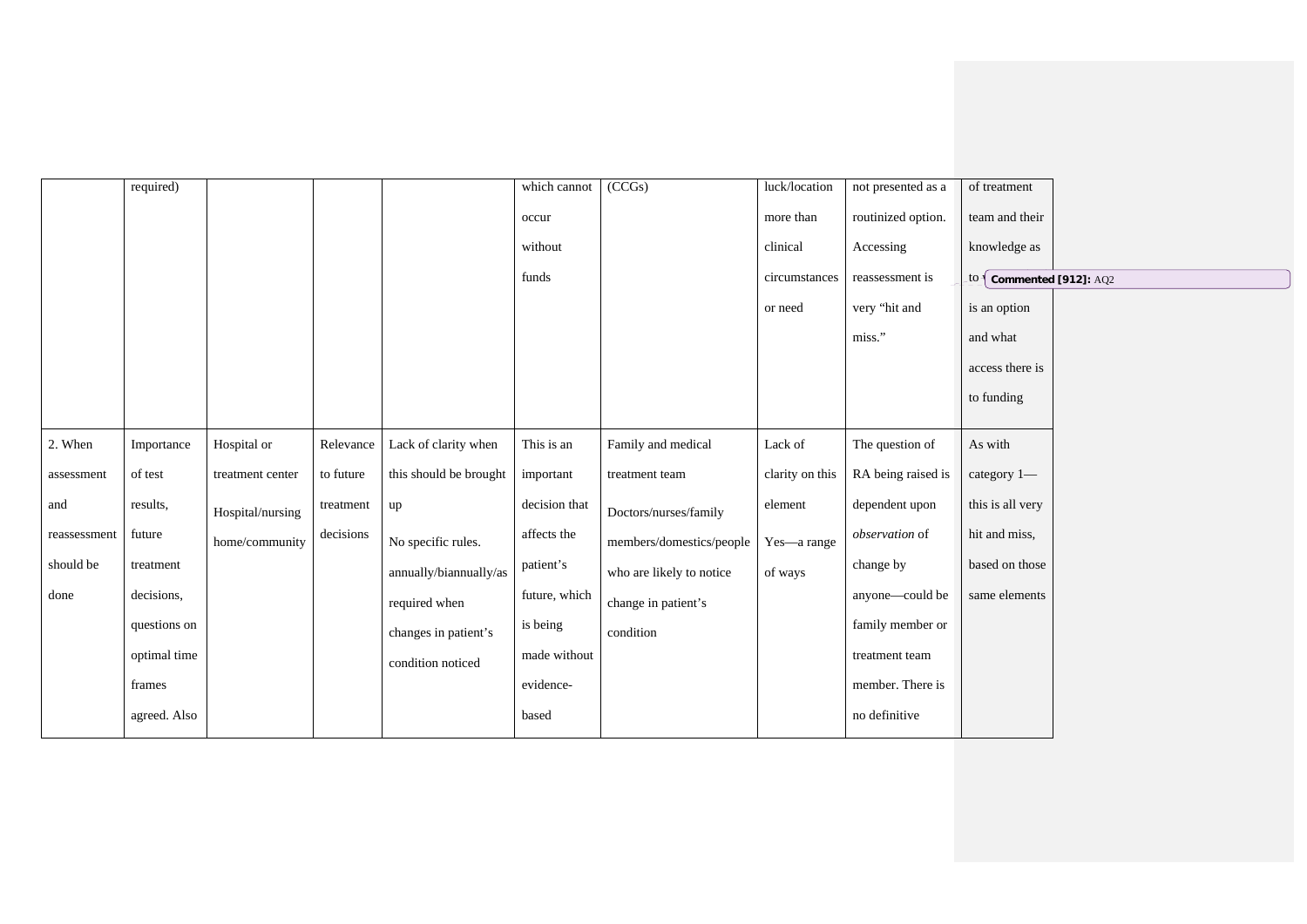|              | required)    |                  |           |                        | which cannot  | (CCGs)                   | luck/location   | not presented as a | of treatment                 |  |
|--------------|--------------|------------------|-----------|------------------------|---------------|--------------------------|-----------------|--------------------|------------------------------|--|
|              |              |                  |           |                        | occur         |                          | more than       | routinized option. | team and their               |  |
|              |              |                  |           |                        | without       |                          | clinical        | Accessing          | knowledge as                 |  |
|              |              |                  |           |                        | funds         |                          | circumstances   | reassessment is    | $\pm 0$ Commented [912]: AQ2 |  |
|              |              |                  |           |                        |               |                          | or need         | very "hit and      | is an option                 |  |
|              |              |                  |           |                        |               |                          |                 | miss."             | and what                     |  |
|              |              |                  |           |                        |               |                          |                 |                    | access there is              |  |
|              |              |                  |           |                        |               |                          |                 |                    | to funding                   |  |
|              |              |                  |           |                        |               |                          |                 |                    |                              |  |
| 2. When      | Importance   | Hospital or      | Relevance | Lack of clarity when   | This is an    | Family and medical       | Lack of         | The question of    | As with                      |  |
| assessment   | of test      | treatment center | to future | this should be brought | important     | treatment team           | clarity on this | RA being raised is | category 1-                  |  |
| and          | results,     | Hospital/nursing | treatment | up                     | decision that | Doctors/nurses/family    | element         | dependent upon     | this is all very             |  |
| reassessment | future       | home/community   | decisions | No specific rules.     | affects the   | members/domestics/people | Yes-a range     | observation of     | hit and miss,                |  |
| should be    | treatment    |                  |           | annually/biannually/as | patient's     | who are likely to notice | of ways         | change by          | based on those               |  |
| done         | decisions,   |                  |           | required when          | future, which | change in patient's      |                 | anyone-could be    | same elements                |  |
|              | questions on |                  |           | changes in patient's   | is being      | condition                |                 | family member or   |                              |  |
|              | optimal time |                  |           | condition noticed      | made without  |                          |                 | treatment team     |                              |  |
|              | frames       |                  |           |                        | evidence-     |                          |                 | member. There is   |                              |  |
|              | agreed. Also |                  |           |                        | based         |                          |                 | no definitive      |                              |  |
|              |              |                  |           |                        |               |                          |                 |                    |                              |  |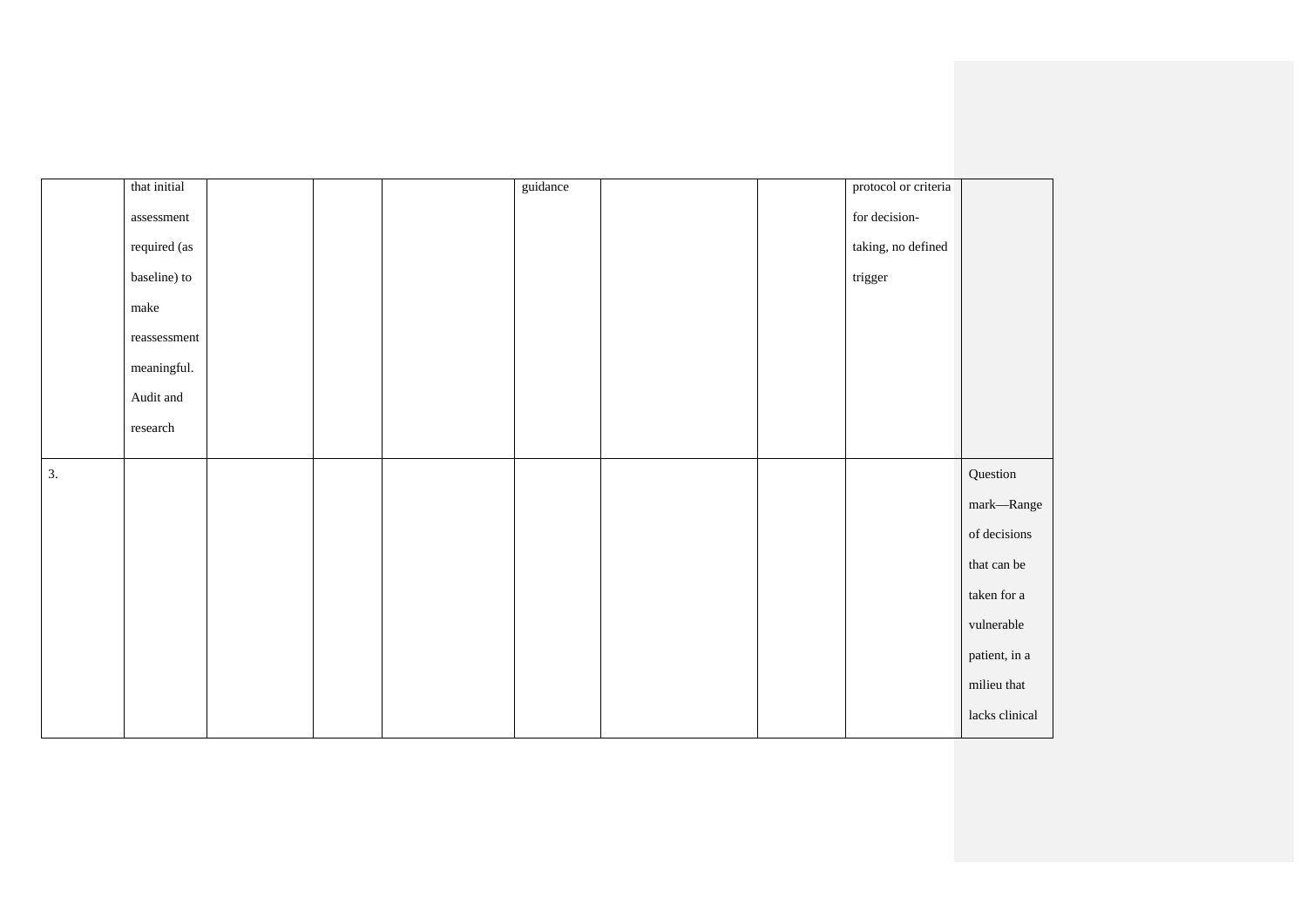| that initial                                 |  | guidance |  | protocol or criteria |                |
|----------------------------------------------|--|----------|--|----------------------|----------------|
| assessment                                   |  |          |  | for decision-        |                |
| required (as                                 |  |          |  | taking, no defined   |                |
| baseline) to                                 |  |          |  | trigger              |                |
| $% \left\vert \cdot \right\rangle _{0}$ make |  |          |  |                      |                |
| $\,$ reassessment                            |  |          |  |                      |                |
| meaningful.                                  |  |          |  |                      |                |
| Audit and                                    |  |          |  |                      |                |
| research                                     |  |          |  |                      |                |
|                                              |  |          |  |                      |                |
| 3.                                           |  |          |  |                      | Question       |
|                                              |  |          |  |                      | mark—Range     |
|                                              |  |          |  |                      | of decisions   |
|                                              |  |          |  |                      | that can be    |
|                                              |  |          |  |                      | taken for a    |
|                                              |  |          |  |                      | vulnerable     |
|                                              |  |          |  |                      | patient, in a  |
|                                              |  |          |  |                      | milieu that    |
|                                              |  |          |  |                      | lacks clinical |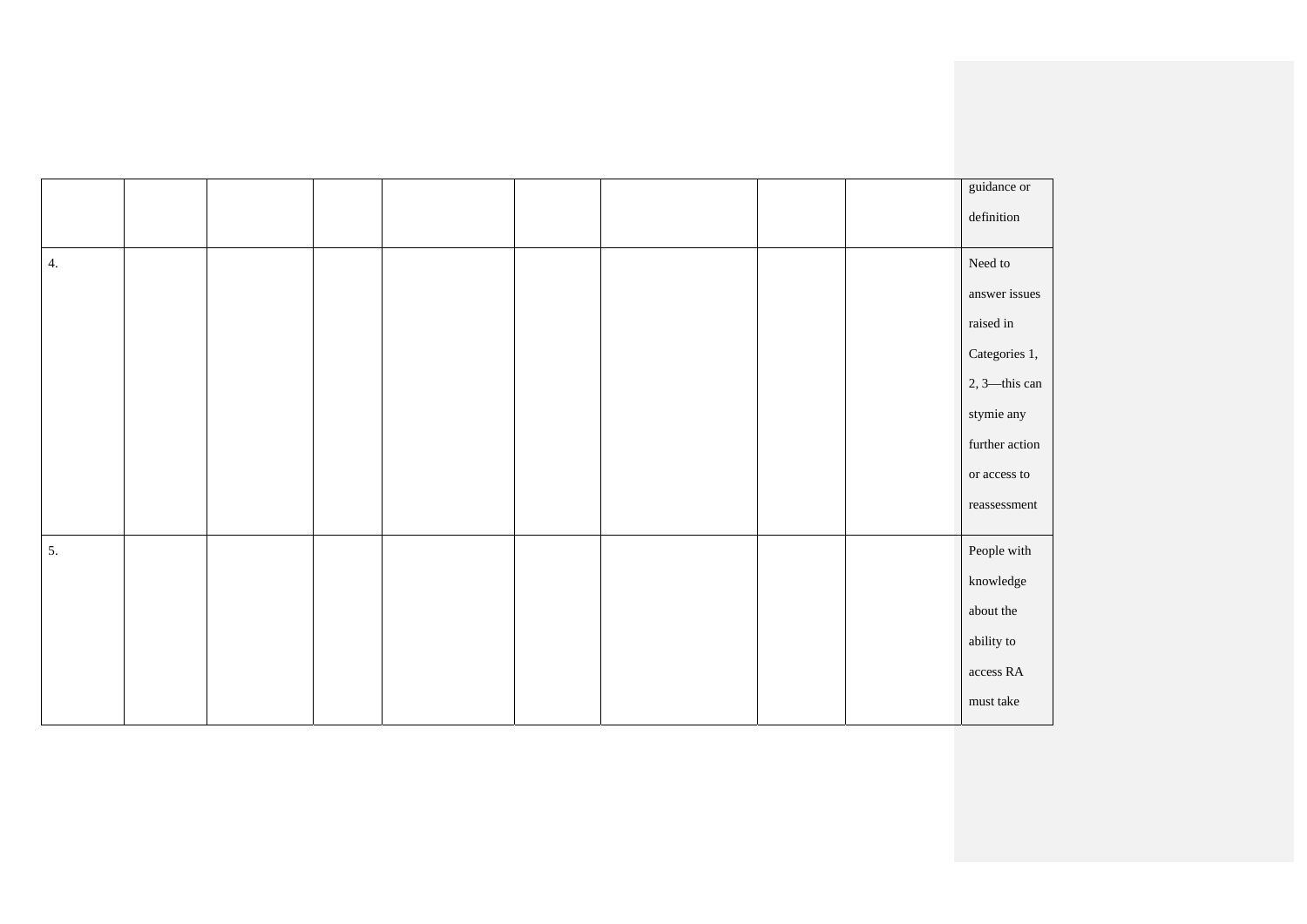|    |  |  |  |  | guidance or                 |
|----|--|--|--|--|-----------------------------|
|    |  |  |  |  | $\operatorname{definition}$ |
|    |  |  |  |  |                             |
| 4. |  |  |  |  | Need to                     |
|    |  |  |  |  | answer issues               |
|    |  |  |  |  | raised in                   |
|    |  |  |  |  | Categories 1,               |
|    |  |  |  |  | $2, 3$ —this can            |
|    |  |  |  |  | stymie any                  |
|    |  |  |  |  | further action              |
|    |  |  |  |  | $\,$ or access to           |
|    |  |  |  |  | $\,$ reassessment           |
|    |  |  |  |  |                             |
| 5. |  |  |  |  | People with                 |
|    |  |  |  |  | $k$ nowledge                |
|    |  |  |  |  | about the                   |
|    |  |  |  |  | ability to                  |
|    |  |  |  |  | $\,$ access ${\rm RA}$      |
|    |  |  |  |  | must take                   |
|    |  |  |  |  |                             |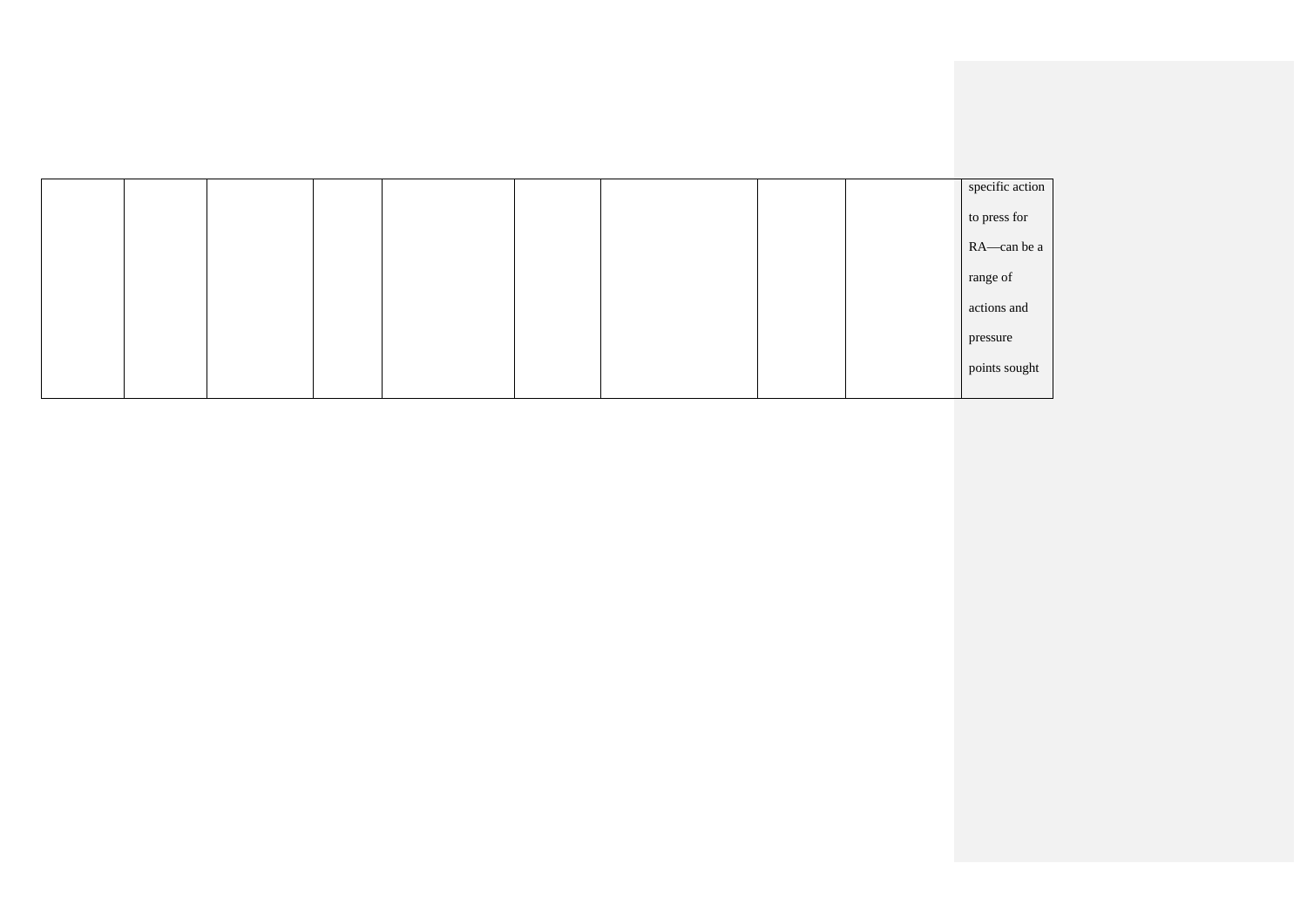|  |  |  |  | specific action |
|--|--|--|--|-----------------|
|  |  |  |  | to press for    |
|  |  |  |  | RA-can be a     |
|  |  |  |  | range of        |
|  |  |  |  | actions and     |
|  |  |  |  | pressure        |
|  |  |  |  | points sought   |
|  |  |  |  |                 |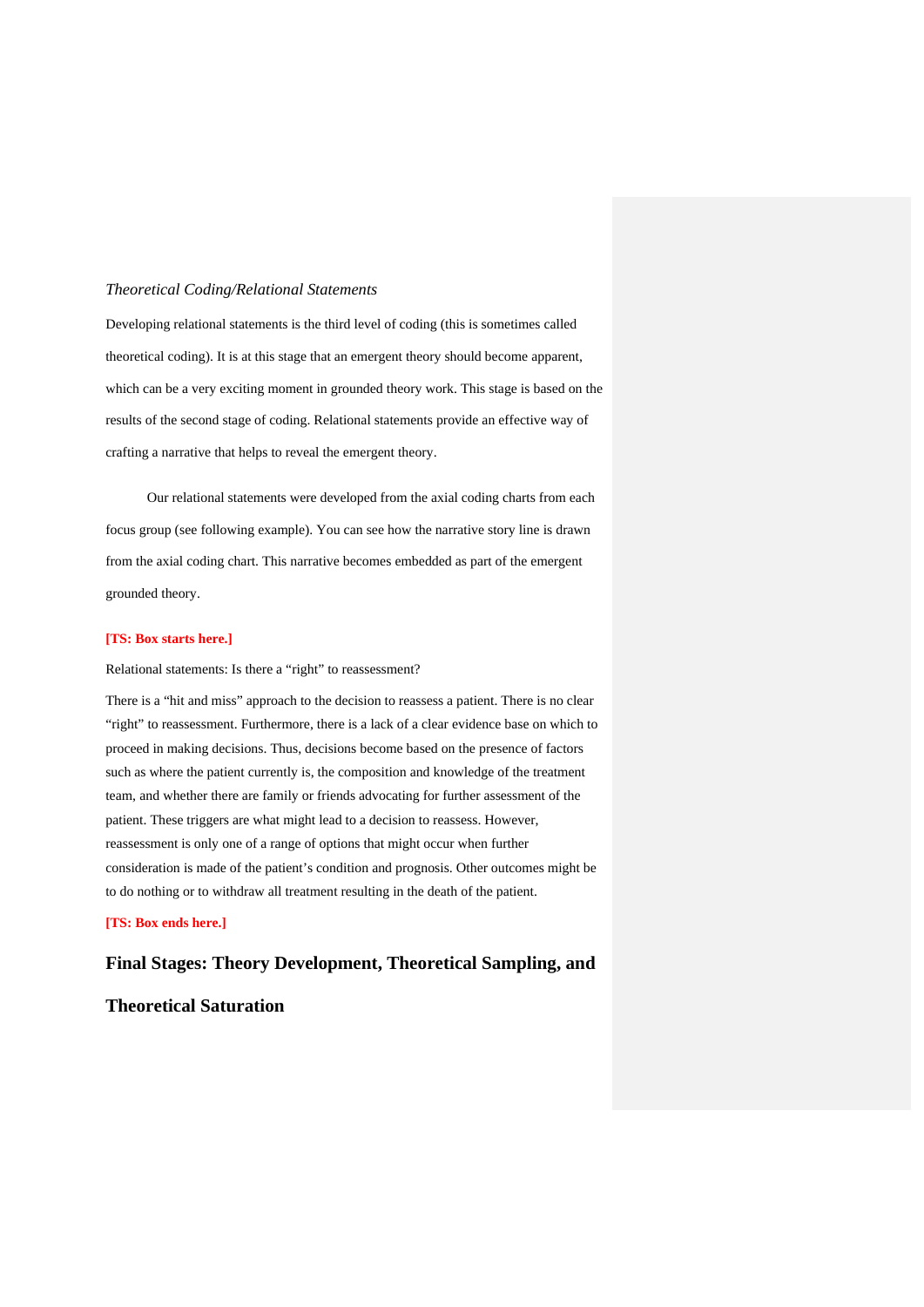#### *Theoretical Coding/Relational Statements*

Developing relational statements is the third level of coding (this is sometimes called theoretical coding). It is at this stage that an emergent theory should become apparent, which can be a very exciting moment in grounded theory work. This stage is based on the results of the second stage of coding. Relational statements provide an effective way of crafting a narrative that helps to reveal the emergent theory.

Our relational statements were developed from the axial coding charts from each focus group (see following example). You can see how the narrative story line is drawn from the axial coding chart. This narrative becomes embedded as part of the emergent grounded theory.

#### **[TS: Box starts here.]**

Relational statements: Is there a "right" to reassessment?

There is a "hit and miss" approach to the decision to reassess a patient. There is no clear "right" to reassessment. Furthermore, there is a lack of a clear evidence base on which to proceed in making decisions. Thus, decisions become based on the presence of factors such as where the patient currently is, the composition and knowledge of the treatment team, and whether there are family or friends advocating for further assessment of the patient. These triggers are what might lead to a decision to reassess. However, reassessment is only one of a range of options that might occur when further consideration is made of the patient's condition and prognosis. Other outcomes might be to do nothing or to withdraw all treatment resulting in the death of the patient.

#### **[TS: Box ends here.]**

# **Final Stages: Theory Development, Theoretical Sampling, and**

### **Theoretical Saturation**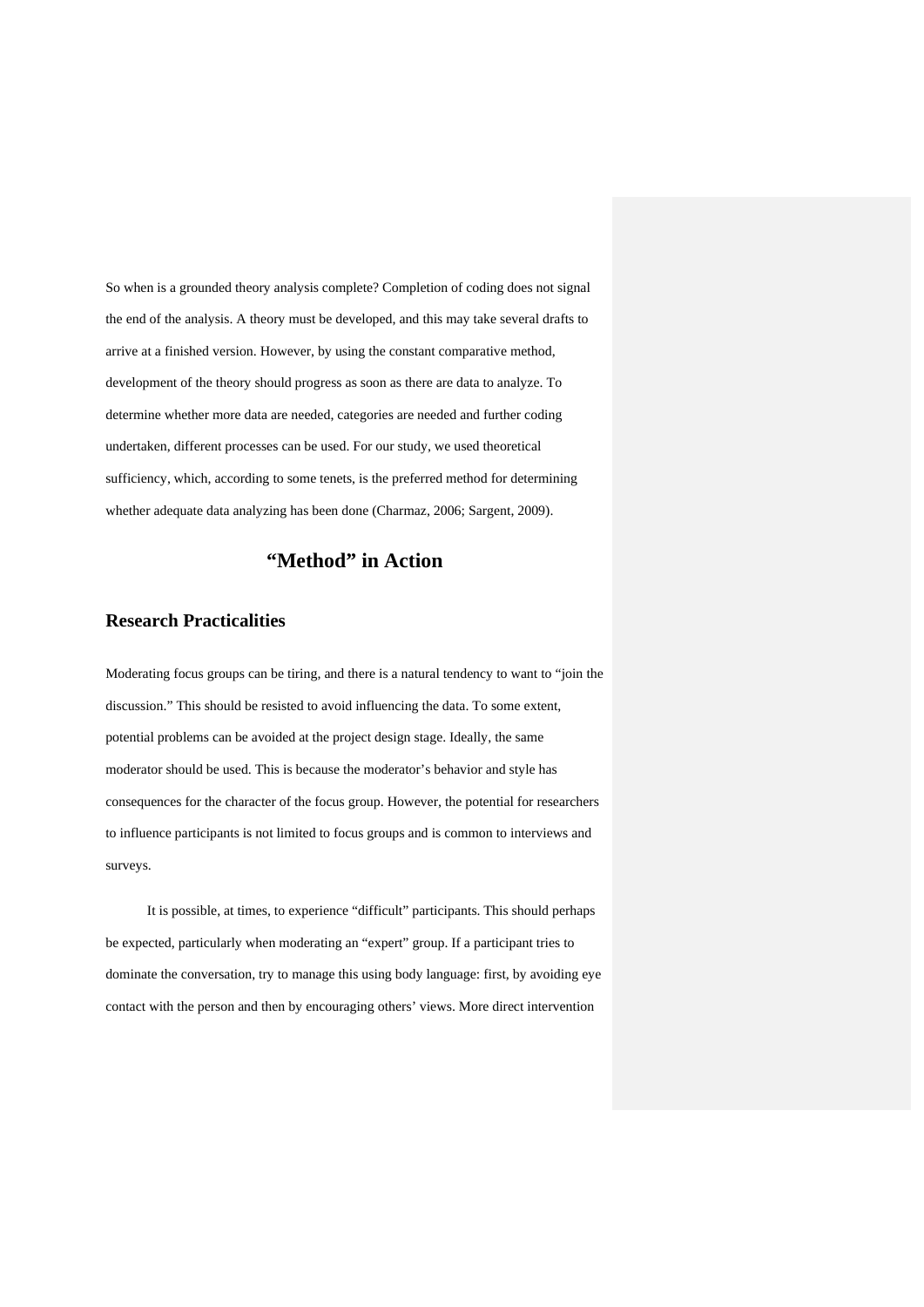So when is a grounded theory analysis complete? Completion of coding does not signal the end of the analysis. A theory must be developed, and this may take several drafts to arrive at a finished version. However, by using the constant comparative method, development of the theory should progress as soon as there are data to analyze. To determine whether more data are needed, categories are needed and further coding undertaken, different processes can be used. For our study, we used theoretical sufficiency, which, according to some tenets, is the preferred method for determining whether adequate data analyzing has been done (Charmaz, 2006; Sargent, 2009).

# **"Method" in Action**

## **Research Practicalities**

Moderating focus groups can be tiring, and there is a natural tendency to want to "join the discussion." This should be resisted to avoid influencing the data. To some extent, potential problems can be avoided at the project design stage. Ideally, the same moderator should be used. This is because the moderator's behavior and style has consequences for the character of the focus group. However, the potential for researchers to influence participants is not limited to focus groups and is common to interviews and surveys.

It is possible, at times, to experience "difficult" participants. This should perhaps be expected, particularly when moderating an "expert" group. If a participant tries to dominate the conversation, try to manage this using body language: first, by avoiding eye contact with the person and then by encouraging others' views. More direct intervention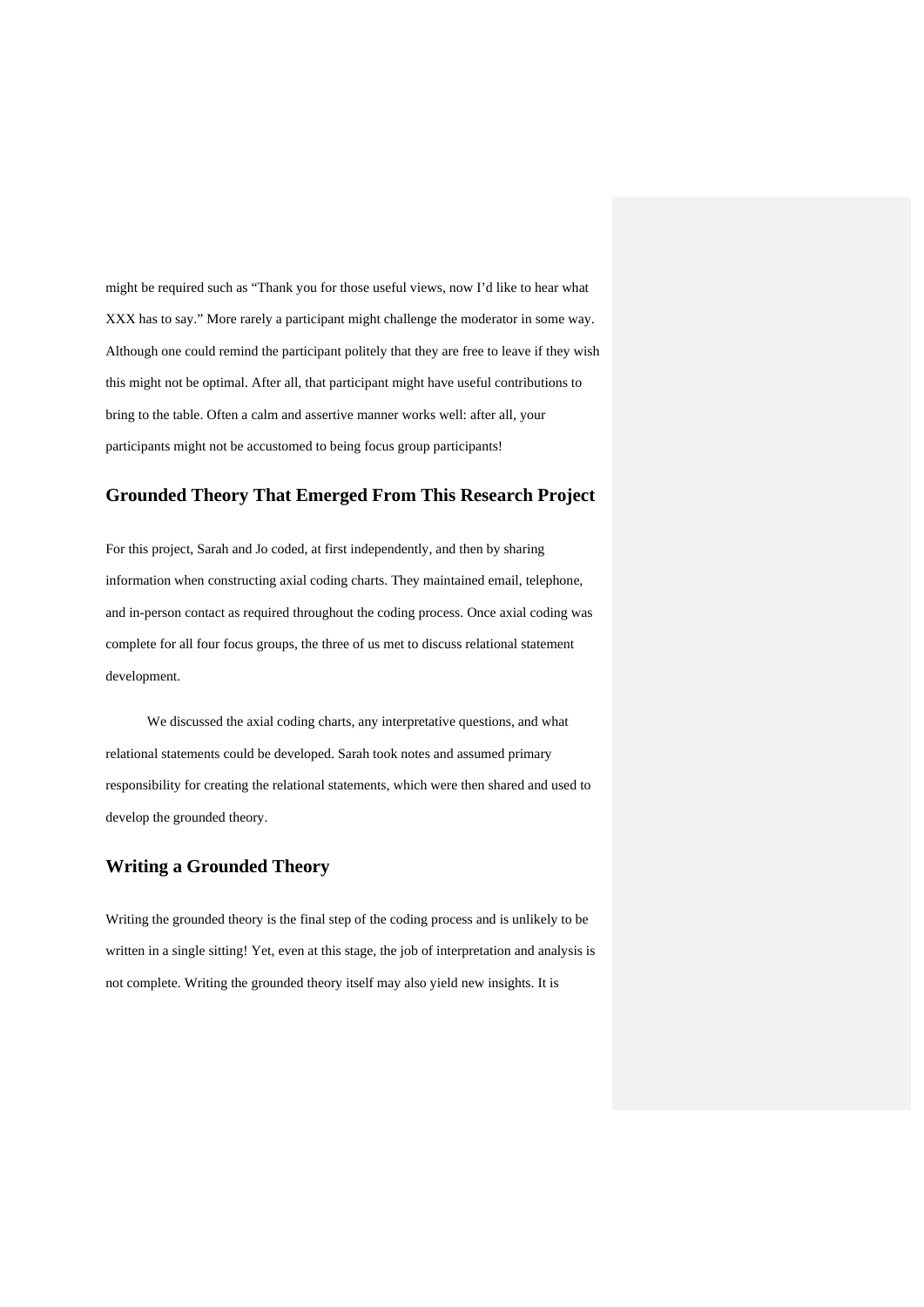might be required such as "Thank you for those useful views, now I'd like to hear what XXX has to say." More rarely a participant might challenge the moderator in some way. Although one could remind the participant politely that they are free to leave if they wish this might not be optimal. After all, that participant might have useful contributions to bring to the table. Often a calm and assertive manner works well: after all, your participants might not be accustomed to being focus group participants!

## **Grounded Theory That Emerged From This Research Project**

For this project, Sarah and Jo coded, at first independently, and then by sharing information when constructing axial coding charts. They maintained email, telephone, and in-person contact as required throughout the coding process. Once axial coding was complete for all four focus groups, the three of us met to discuss relational statement development.

We discussed the axial coding charts, any interpretative questions, and what relational statements could be developed. Sarah took notes and assumed primary responsibility for creating the relational statements, which were then shared and used to develop the grounded theory.

## **Writing a Grounded Theory**

Writing the grounded theory is the final step of the coding process and is unlikely to be written in a single sitting! Yet, even at this stage, the job of interpretation and analysis is not complete. Writing the grounded theory itself may also yield new insights. It is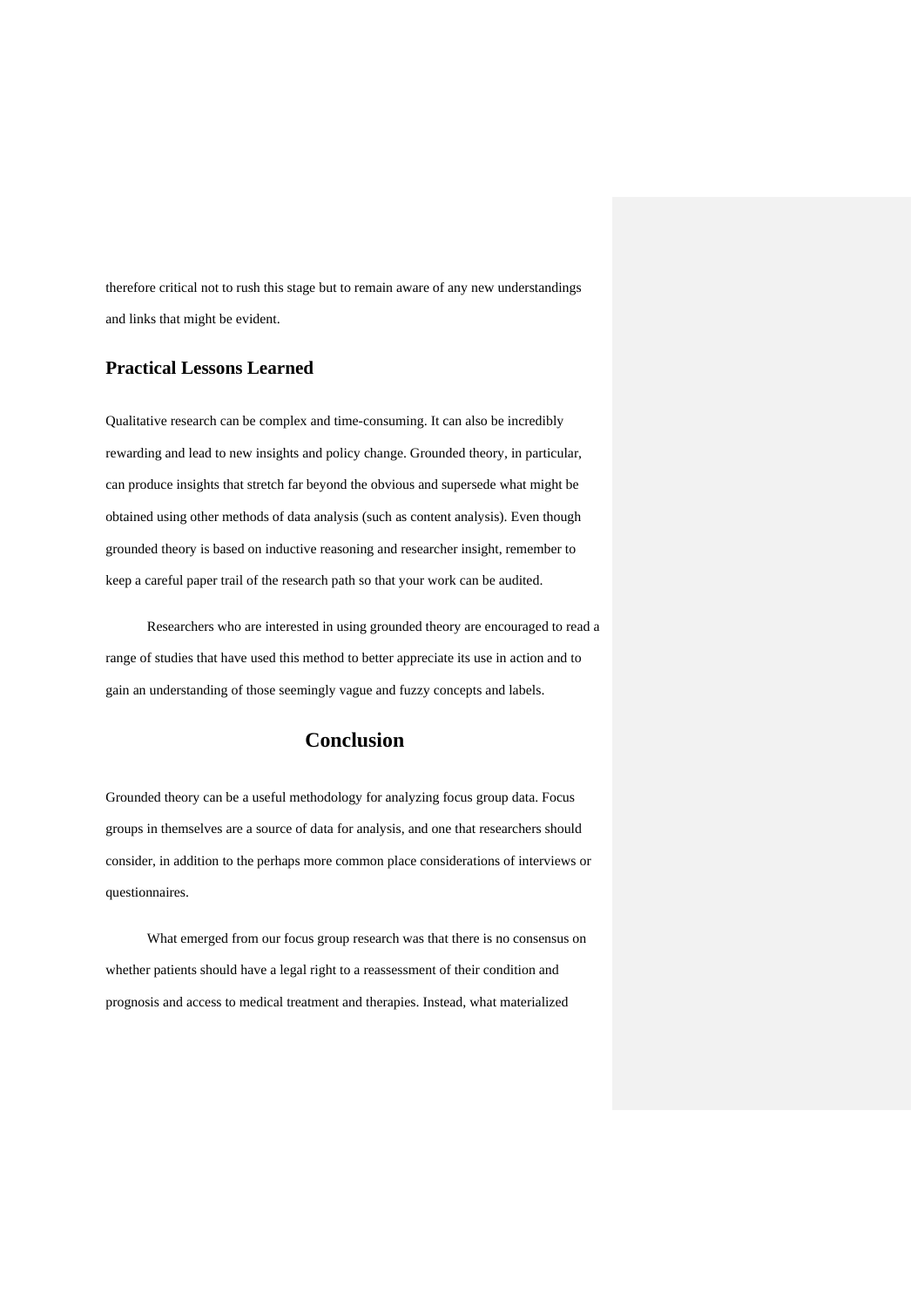therefore critical not to rush this stage but to remain aware of any new understandings and links that might be evident.

## **Practical Lessons Learned**

Qualitative research can be complex and time-consuming. It can also be incredibly rewarding and lead to new insights and policy change. Grounded theory, in particular, can produce insights that stretch far beyond the obvious and supersede what might be obtained using other methods of data analysis (such as content analysis). Even though grounded theory is based on inductive reasoning and researcher insight, remember to keep a careful paper trail of the research path so that your work can be audited.

Researchers who are interested in using grounded theory are encouraged to read a range of studies that have used this method to better appreciate its use in action and to gain an understanding of those seemingly vague and fuzzy concepts and labels.

# **Conclusion**

Grounded theory can be a useful methodology for analyzing focus group data. Focus groups in themselves are a source of data for analysis, and one that researchers should consider, in addition to the perhaps more common place considerations of interviews or questionnaires.

What emerged from our focus group research was that there is no consensus on whether patients should have a legal right to a reassessment of their condition and prognosis and access to medical treatment and therapies. Instead, what materialized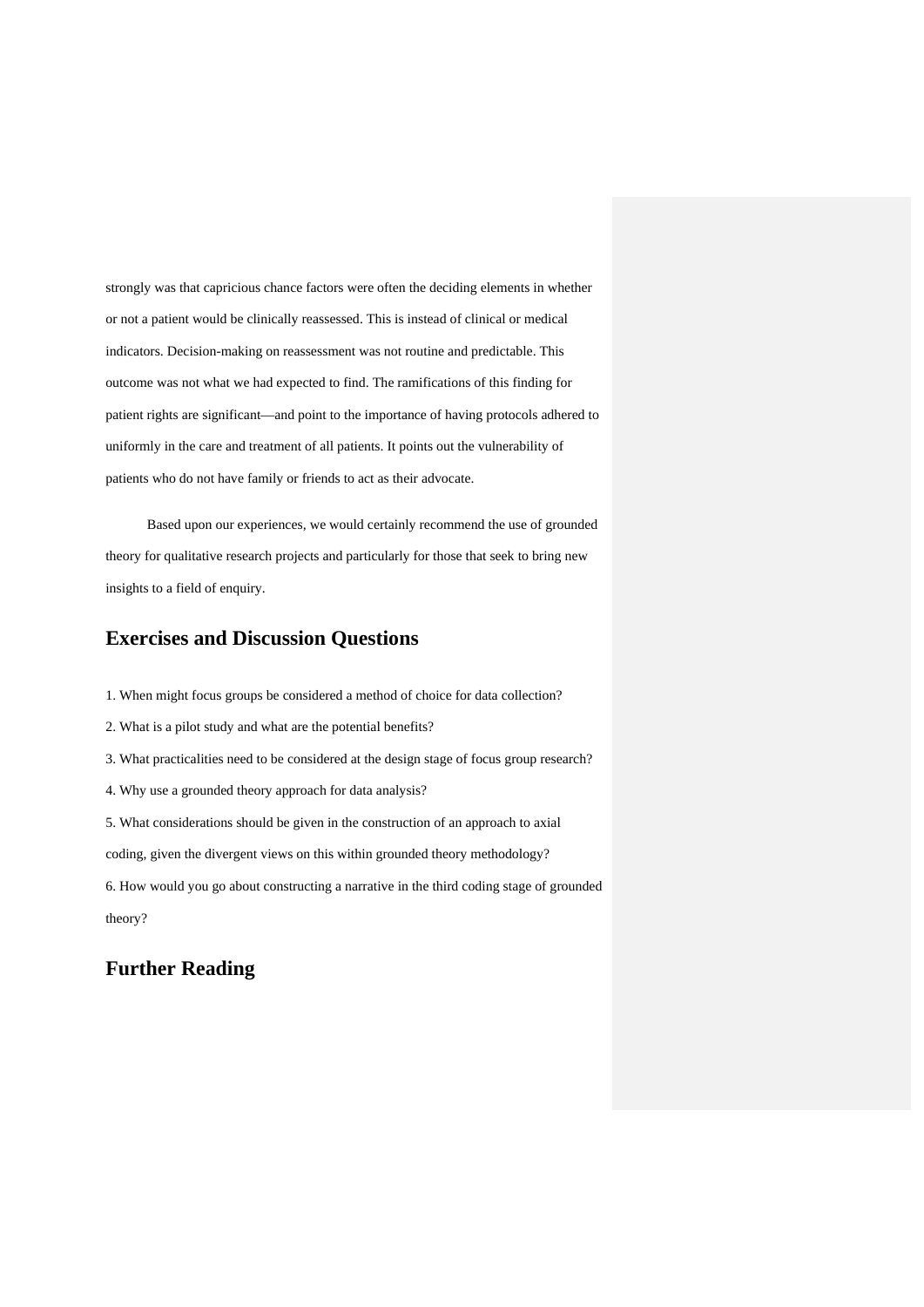strongly was that capricious chance factors were often the deciding elements in whether or not a patient would be clinically reassessed. This is instead of clinical or medical indicators. Decision-making on reassessment was not routine and predictable. This outcome was not what we had expected to find. The ramifications of this finding for patient rights are significant—and point to the importance of having protocols adhered to uniformly in the care and treatment of all patients. It points out the vulnerability of patients who do not have family or friends to act as their advocate.

Based upon our experiences, we would certainly recommend the use of grounded theory for qualitative research projects and particularly for those that seek to bring new insights to a field of enquiry.

# **Exercises and Discussion Questions**

1. When might focus groups be considered a method of choice for data collection?

- 2. What is a pilot study and what are the potential benefits?
- 3. What practicalities need to be considered at the design stage of focus group research?
- 4. Why use a grounded theory approach for data analysis?

5. What considerations should be given in the construction of an approach to axial

coding, given the divergent views on this within grounded theory methodology?

6. How would you go about constructing a narrative in the third coding stage of grounded theory?

## **Further Reading**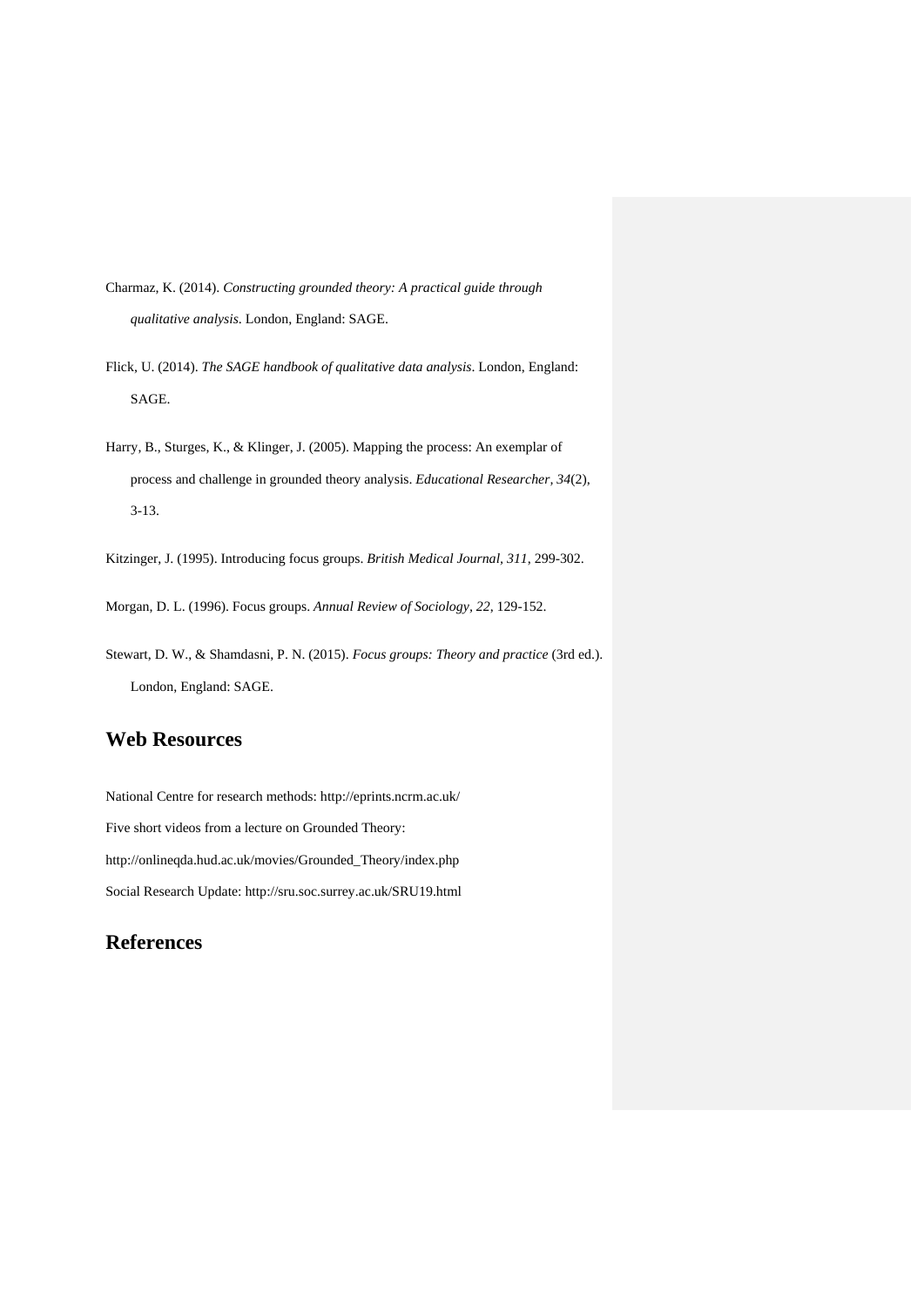Charmaz, K. (2014). *Constructing grounded theory: A practical guide through qualitative analysis*. London, England: SAGE.

Flick, U. (2014). *The SAGE handbook of qualitative data analysis*. London, England: SAGE.

Harry, B., Sturges, K., & Klinger, J. (2005). Mapping the process: An exemplar of process and challenge in grounded theory analysis. *Educational Researcher, 34*(2), 3-13.

Kitzinger, J. (1995). Introducing focus groups. *British Medical Journal, 311*, 299-302.

Morgan, D. L. (1996). Focus groups. *Annual Review of Sociology, 22*, 129-152.

Stewart, D. W., & Shamdasni, P. N. (2015). *Focus groups: Theory and practice* (3rd ed.). London, England: SAGE.

# **Web Resources**

National Centre for research methods: http://eprints.ncrm.ac.uk/ Five short videos from a lecture on Grounded Theory: http://onlineqda.hud.ac.uk/movies/Grounded\_Theory/index.php Social Research Update: http://sru.soc.surrey.ac.uk/SRU19.html

# **References**